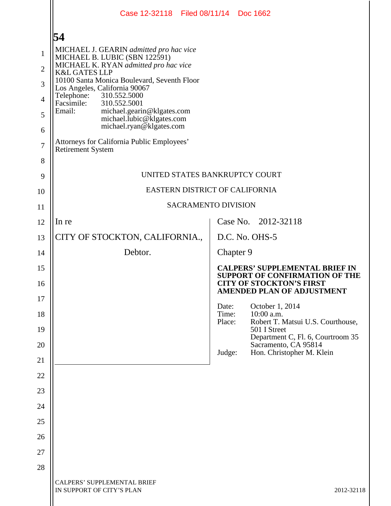|                | Case 12-32118 Filed 08/11/14 Doc 1662                                                         |                          |           |                                                                                                                   |  |  |  |  |
|----------------|-----------------------------------------------------------------------------------------------|--------------------------|-----------|-------------------------------------------------------------------------------------------------------------------|--|--|--|--|
|                | 54                                                                                            |                          |           |                                                                                                                   |  |  |  |  |
| $\mathbf{1}$   | MICHAEL J. GEARIN admitted pro hac vice<br>MICHAEL B. LUBIC (SBN 122591)                      |                          |           |                                                                                                                   |  |  |  |  |
| $\overline{2}$ | MICHAEL K. RYAN admitted pro hac vice<br><b>K&amp;L GATES LLP</b>                             |                          |           |                                                                                                                   |  |  |  |  |
| 3              | 10100 Santa Monica Boulevard, Seventh Floor<br>Los Angeles, California 90067                  |                          |           |                                                                                                                   |  |  |  |  |
| $\overline{4}$ | 310.552.5000<br>Telephone:<br>Facsimile:<br>310.552.5001                                      |                          |           |                                                                                                                   |  |  |  |  |
| 5              | Email:<br>michael.gearin@klgates.com<br>michael.lubic@klgates.com<br>michael.ryan@klgates.com |                          |           |                                                                                                                   |  |  |  |  |
| 6              |                                                                                               |                          |           |                                                                                                                   |  |  |  |  |
| $\overline{7}$ | Attorneys for California Public Employees'<br><b>Retirement System</b>                        |                          |           |                                                                                                                   |  |  |  |  |
| 8              | UNITED STATES BANKRUPTCY COURT                                                                |                          |           |                                                                                                                   |  |  |  |  |
| 9              | EASTERN DISTRICT OF CALIFORNIA                                                                |                          |           |                                                                                                                   |  |  |  |  |
| 10             | <b>SACRAMENTO DIVISION</b>                                                                    |                          |           |                                                                                                                   |  |  |  |  |
| 11             |                                                                                               |                          |           |                                                                                                                   |  |  |  |  |
| 12             | In re                                                                                         |                          |           | Case No. 2012-32118                                                                                               |  |  |  |  |
| 13             | CITY OF STOCKTON, CALIFORNIA.,                                                                |                          |           | D.C. No. OHS-5                                                                                                    |  |  |  |  |
| 14             | Debtor.                                                                                       |                          | Chapter 9 |                                                                                                                   |  |  |  |  |
| 15<br>16       |                                                                                               |                          |           | <b>CALPERS' SUPPLEMENTAL BRIEF IN</b><br><b>SUPPORT OF CONFIRMATION OF THE</b><br><b>CITY OF STOCKTON'S FIRST</b> |  |  |  |  |
| 17             |                                                                                               |                          |           | <b>AMENDED PLAN OF ADJUSTMENT</b>                                                                                 |  |  |  |  |
| 18             |                                                                                               | Date:<br>Time:<br>Place: |           | October 1, 2014<br>10:00 a.m.<br>Robert T. Matsui U.S. Courthouse,                                                |  |  |  |  |
| 19             |                                                                                               |                          |           | 501 I Street                                                                                                      |  |  |  |  |
| 20             |                                                                                               |                          |           | Department C, Fl. 6, Courtroom 35<br>Sacramento, CA 95814                                                         |  |  |  |  |
| 21             |                                                                                               | Judge:                   |           | Hon. Christopher M. Klein                                                                                         |  |  |  |  |
| 22             |                                                                                               |                          |           |                                                                                                                   |  |  |  |  |
| 23             |                                                                                               |                          |           |                                                                                                                   |  |  |  |  |
| 24             |                                                                                               |                          |           |                                                                                                                   |  |  |  |  |
| 25             |                                                                                               |                          |           |                                                                                                                   |  |  |  |  |
| 26             |                                                                                               |                          |           |                                                                                                                   |  |  |  |  |
| 27             |                                                                                               |                          |           |                                                                                                                   |  |  |  |  |
| 28             |                                                                                               |                          |           |                                                                                                                   |  |  |  |  |
|                | <b>CALPERS' SUPPLEMENTAL BRIEF</b><br>IN SUPPORT OF CITY'S PLAN                               |                          |           | 2012-32118                                                                                                        |  |  |  |  |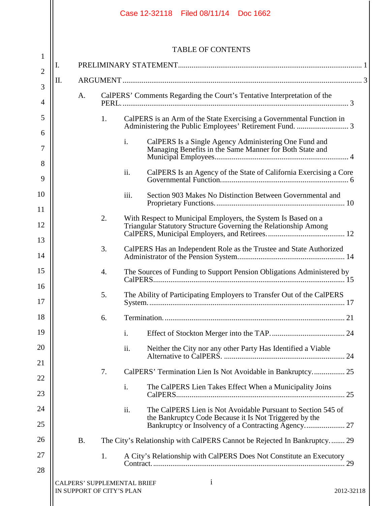|                     |    |           |                           | Case 12-32118 Filed 08/11/14 Doc 1662                                                                                              |
|---------------------|----|-----------|---------------------------|------------------------------------------------------------------------------------------------------------------------------------|
|                     |    |           |                           | <b>TABLE OF CONTENTS</b>                                                                                                           |
| 1                   | I. |           |                           |                                                                                                                                    |
| $\overline{2}$      | Π. |           |                           |                                                                                                                                    |
| 3<br>$\overline{4}$ |    | A.        |                           | CalPERS' Comments Regarding the Court's Tentative Interpretation of the                                                            |
| 5                   |    |           | 1.                        | CalPERS is an Arm of the State Exercising a Governmental Function in<br>Administering the Public Employees' Retirement Fund.  3    |
| 6<br>7              |    |           |                           | $\mathbf{i}$ .<br>CalPERS Is a Single Agency Administering One Fund and<br>Managing Benefits in the Same Manner for Both State and |
| 8                   |    |           |                           |                                                                                                                                    |
| 9                   |    |           |                           | ii.                                                                                                                                |
| 10<br>11            |    |           |                           | iii.<br>Section 903 Makes No Distinction Between Governmental and                                                                  |
|                     |    |           | 2.                        | With Respect to Municipal Employers, the System Is Based on a                                                                      |
| 12                  |    |           |                           | Triangular Statutory Structure Governing the Relationship Among                                                                    |
| 13<br>14            |    |           | 3.                        |                                                                                                                                    |
| 15                  |    |           | 4.                        | The Sources of Funding to Support Pension Obligations Administered by                                                              |
| 16<br>17            |    |           | 5.                        | The Ability of Participating Employers to Transfer Out of the CalPERS                                                              |
| 18                  |    |           | 6.                        |                                                                                                                                    |
| 19                  |    |           |                           | i.                                                                                                                                 |
| 20                  |    |           |                           | ii.<br>Neither the City nor any other Party Has Identified a Viable                                                                |
| 21                  |    |           |                           |                                                                                                                                    |
| 22                  |    |           | 7.                        |                                                                                                                                    |
| 23                  |    |           |                           | The CalPERS Lien Takes Effect When a Municipality Joins<br>i.                                                                      |
| 24                  |    |           |                           | ii.<br>The CalPERS Lien is Not Avoidable Pursuant to Section 545 of<br>the Bankruptcy Code Because it Is Not Triggered by the      |
| 25                  |    |           |                           |                                                                                                                                    |
| 26                  |    | <b>B.</b> |                           | The City's Relationship with CalPERS Cannot be Rejected In Bankruptcy 29                                                           |
| 27                  |    |           | 1.                        | A City's Relationship with CalPERS Does Not Constitute an Executory                                                                |
| 28                  |    |           |                           |                                                                                                                                    |
|                     |    |           | IN SUPPORT OF CITY'S PLAN | $\mathbf{i}$<br>CALPERS' SUPPLEMENTAL BRIEF<br>2012-32118                                                                          |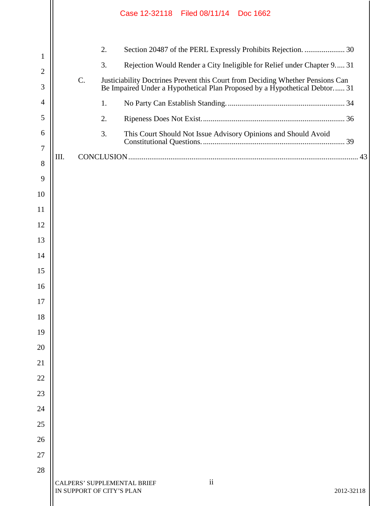|                     |      |                           | Case 12-32118 Filed 08/11/14 Doc 1662 |    |                                                                                                                                                                                                                          |  |
|---------------------|------|---------------------------|---------------------------------------|----|--------------------------------------------------------------------------------------------------------------------------------------------------------------------------------------------------------------------------|--|
| 1<br>$\overline{2}$ | C.   | 2.<br>3.                  |                                       |    | Section 20487 of the PERL Expressly Prohibits Rejection.  30<br>Rejection Would Render a City Ineligible for Relief under Chapter 9 31<br>Justiciability Doctrines Prevent this Court from Deciding Whether Pensions Can |  |
| 3                   |      |                           |                                       |    | Be Impaired Under a Hypothetical Plan Proposed by a Hypothetical Debtor 31                                                                                                                                               |  |
| $\overline{4}$      |      | 1.                        |                                       |    |                                                                                                                                                                                                                          |  |
| 5                   |      | 2.                        |                                       |    |                                                                                                                                                                                                                          |  |
| 6                   |      | 3.                        |                                       |    | This Court Should Not Issue Advisory Opinions and Should Avoid                                                                                                                                                           |  |
| 7                   | III. |                           |                                       |    |                                                                                                                                                                                                                          |  |
| 8                   |      |                           |                                       |    |                                                                                                                                                                                                                          |  |
| 9<br>10             |      |                           |                                       |    |                                                                                                                                                                                                                          |  |
| 11                  |      |                           |                                       |    |                                                                                                                                                                                                                          |  |
| 12                  |      |                           |                                       |    |                                                                                                                                                                                                                          |  |
| 13                  |      |                           |                                       |    |                                                                                                                                                                                                                          |  |
| 14                  |      |                           |                                       |    |                                                                                                                                                                                                                          |  |
| 15                  |      |                           |                                       |    |                                                                                                                                                                                                                          |  |
| 16                  |      |                           |                                       |    |                                                                                                                                                                                                                          |  |
| 17                  |      |                           |                                       |    |                                                                                                                                                                                                                          |  |
| 18                  |      |                           |                                       |    |                                                                                                                                                                                                                          |  |
| 19                  |      |                           |                                       |    |                                                                                                                                                                                                                          |  |
| 20                  |      |                           |                                       |    |                                                                                                                                                                                                                          |  |
| 21                  |      |                           |                                       |    |                                                                                                                                                                                                                          |  |
| 22                  |      |                           |                                       |    |                                                                                                                                                                                                                          |  |
| 23                  |      |                           |                                       |    |                                                                                                                                                                                                                          |  |
| 24                  |      |                           |                                       |    |                                                                                                                                                                                                                          |  |
| 25                  |      |                           |                                       |    |                                                                                                                                                                                                                          |  |
| 26                  |      |                           |                                       |    |                                                                                                                                                                                                                          |  |
| 27<br>28            |      |                           |                                       |    |                                                                                                                                                                                                                          |  |
|                     |      | IN SUPPORT OF CITY'S PLAN | CALPERS' SUPPLEMENTAL BRIEF           | ii | 2012-32118                                                                                                                                                                                                               |  |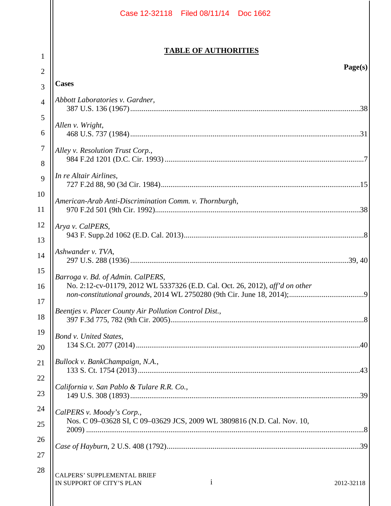|                     | Case 12-32118 Filed 08/11/14 Doc 1662                                                                             |
|---------------------|-------------------------------------------------------------------------------------------------------------------|
|                     | <b>TABLE OF AUTHORITIES</b>                                                                                       |
| 1                   | Page(s)                                                                                                           |
| $\overline{2}$<br>3 | <b>Cases</b>                                                                                                      |
| $\overline{4}$      | Abbott Laboratories v. Gardner,                                                                                   |
|                     |                                                                                                                   |
| 5<br>6              | Allen v. Wright,                                                                                                  |
| 7<br>8              | Alley v. Resolution Trust Corp.,                                                                                  |
| 9                   | In re Altair Airlines,                                                                                            |
| 10<br>11            | American-Arab Anti-Discrimination Comm. v. Thornburgh,                                                            |
| 12                  | Arya v. CalPERS,                                                                                                  |
| 13                  |                                                                                                                   |
| 14                  | Ashwander v. TVA,                                                                                                 |
| 15<br>16<br>17      | Barroga v. Bd. of Admin. CalPERS,<br>No. 2:12-cv-01179, 2012 WL 5337326 (E.D. Cal. Oct. 26, 2012), aff'd on other |
| 18                  | Beentjes v. Placer County Air Pollution Control Dist.,                                                            |
| 19<br>20            | Bond v. United States,                                                                                            |
| 21                  | Bullock v. BankChampaign, N.A.,                                                                                   |
| 22<br>23            | California v. San Pablo & Tulare R.R. Co.,                                                                        |
| 24                  | CalPERS v. Moody's Corp.,                                                                                         |
| 25                  | Nos. C 09-03628 SI, C 09-03629 JCS, 2009 WL 3809816 (N.D. Cal. Nov. 10,                                           |
| 26                  |                                                                                                                   |
| 27                  |                                                                                                                   |
| 28                  | CALPERS' SUPPLEMENTAL BRIEF<br>1<br>IN SUPPORT OF CITY'S PLAN<br>2012-32118                                       |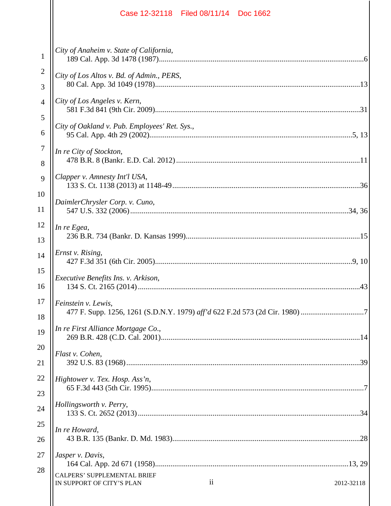|                     | Case 12-32118 Filed 08/11/14 Doc 1662                                                          |  |
|---------------------|------------------------------------------------------------------------------------------------|--|
| $\mathbf{1}$        | City of Anaheim v. State of California,                                                        |  |
| 2<br>3              | City of Los Altos v. Bd. of Admin., PERS,                                                      |  |
| $\overline{4}$<br>5 | City of Los Angeles v. Kern,                                                                   |  |
| 6                   | City of Oakland v. Pub. Employees' Ret. Sys.,                                                  |  |
| 7<br>8              | In re City of Stockton,                                                                        |  |
| 9<br>10             | Clapper v. Amnesty Int'l USA,                                                                  |  |
| 11                  | DaimlerChrysler Corp. v. Cuno,                                                                 |  |
| 12<br>13            | In re Egea,                                                                                    |  |
| 14                  | Ernst v. Rising,                                                                               |  |
| 15<br>16            | Executive Benefits Ins. v. Arkison,                                                            |  |
| 17<br>18            | Feinstein v. Lewis,                                                                            |  |
| 19                  | In re First Alliance Mortgage Co.,                                                             |  |
| 20<br>21            | Flast v. Cohen,                                                                                |  |
| 22<br>23            | Hightower v. Tex. Hosp. Ass'n,                                                                 |  |
| 24                  | Hollingsworth v. Perry,                                                                        |  |
| 25<br>26            | In re Howard,                                                                                  |  |
| 27                  | Jasper v. Davis,                                                                               |  |
| 28                  | <b>CALPERS' SUPPLEMENTAL BRIEF</b><br>$\mathbf{ii}$<br>IN SUPPORT OF CITY'S PLAN<br>2012-32118 |  |
|                     |                                                                                                |  |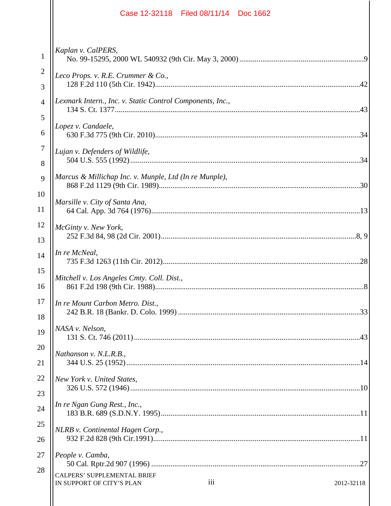|                     | Case 12-32118 Filed 08/11/14 Doc 1662                                                |
|---------------------|--------------------------------------------------------------------------------------|
| $\mathbf{1}$        | Kaplan v. CalPERS,                                                                   |
| $\overline{2}$<br>3 | Leco Props. v. R.E. Crummer & Co.,                                                   |
| $\overline{4}$      | Lexmark Intern., Inc. v. Static Control Components, Inc.,                            |
| 5<br>6              | Lopez v. Candaele,                                                                   |
| 7<br>8              | Lujan v. Defenders of Wildlife,                                                      |
| 9                   | Marcus & Millichap Inc. v. Munple, Ltd (In re Munple),                               |
| 10<br>11            | Marsille v. City of Santa Ana,                                                       |
| 12<br>13            | McGinty v. New York,                                                                 |
| 14                  | In re McNeal,                                                                        |
| 15<br>16            | Mitchell v. Los Angeles Cmty. Coll. Dist.,<br>.8'                                    |
| 17<br>18            | In re Mount Carbon Metro. Dist.,                                                     |
| 19                  | NASA v. Nelson,                                                                      |
| 20<br>21            | Nathanson v. N.L.R.B.,                                                               |
| 22<br>23            | New York v. United States,                                                           |
| 24                  | In re Ngan Gung Rest., Inc.,                                                         |
| 25<br>26            | NLRB v. Continental Hagen Corp.,                                                     |
| 27                  | People v. Camba,                                                                     |
| 28                  | <b>CALPERS' SUPPLEMENTAL BRIEF</b><br>iii<br>IN SUPPORT OF CITY'S PLAN<br>2012-32118 |
|                     |                                                                                      |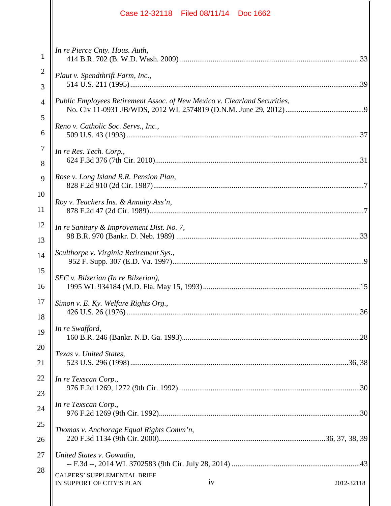|              | Case 12-32118 Filed 08/11/14 Doc 1662                                               |
|--------------|-------------------------------------------------------------------------------------|
| $\mathbf{1}$ | In re Pierce Cnty. Hous. Auth,                                                      |
| 2            | Plaut v. Spendthrift Farm, Inc.,                                                    |
| 3            |                                                                                     |
| 4            | Public Employees Retirement Assoc. of New Mexico v. Clearland Securities,           |
| 5            |                                                                                     |
| 6            | Reno v. Catholic Soc. Servs., Inc.,                                                 |
| 7            | In re Res. Tech. Corp.,                                                             |
| 8            |                                                                                     |
| 9            | Rose v. Long Island R.R. Pension Plan,                                              |
| 10           |                                                                                     |
| 11           | Roy v. Teachers Ins. & Annuity Ass'n,                                               |
| 12           | In re Sanitary & Improvement Dist. No. 7,                                           |
| 13           |                                                                                     |
| 14           | Sculthorpe v. Virginia Retirement Sys.,                                             |
| 15           | SEC v. Bilzerian (In re Bilzerian),                                                 |
| 16           |                                                                                     |
| 17           | Simon v. E. Ky. Welfare Rights Org.,                                                |
| 18           |                                                                                     |
| 19           | In re Swafford,                                                                     |
| 20           | Texas v. United States,                                                             |
| 21           |                                                                                     |
| 22           | In re Texscan Corp.,                                                                |
| 23           |                                                                                     |
| 24           | In re Texscan Corp.,                                                                |
| 25           | Thomas v. Anchorage Equal Rights Comm'n,                                            |
| 26           |                                                                                     |
| 27           | United States v. Gowadia,                                                           |
| 28           | <b>CALPERS' SUPPLEMENTAL BRIEF</b><br>iv<br>IN SUPPORT OF CITY'S PLAN<br>2012-32118 |
|              |                                                                                     |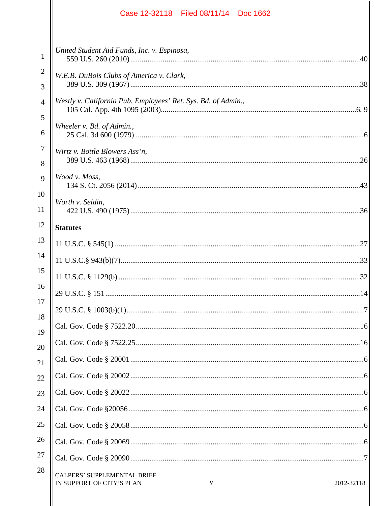|                     | Case 12-32118 Filed 08/11/14 Doc 1662                                              |
|---------------------|------------------------------------------------------------------------------------|
| $\mathbf{1}$        | United Student Aid Funds, Inc. v. Espinosa,                                        |
| $\overline{c}$<br>3 | W.E.B. DuBois Clubs of America v. Clark,                                           |
| 4<br>5              | Westly v. California Pub. Employees' Ret. Sys. Bd. of Admin.,                      |
| 6                   | Wheeler v. Bd. of Admin.,                                                          |
| 7<br>8              | Wirtz v. Bottle Blowers Ass'n,                                                     |
| 9<br>10             | Wood v. Moss,                                                                      |
| 11<br>12            | Worth v. Seldin,<br><b>Statutes</b>                                                |
| 13                  |                                                                                    |
| 14                  |                                                                                    |
| 15                  |                                                                                    |
| 16                  |                                                                                    |
| 17                  |                                                                                    |
| 18                  |                                                                                    |
| 19<br>20            |                                                                                    |
| 21                  |                                                                                    |
| 22                  |                                                                                    |
| 23                  |                                                                                    |
| 24                  |                                                                                    |
| 25                  |                                                                                    |
| 26                  |                                                                                    |
| 27                  |                                                                                    |
| 28                  | <b>CALPERS' SUPPLEMENTAL BRIEF</b><br>V<br>IN SUPPORT OF CITY'S PLAN<br>2012-32118 |
|                     |                                                                                    |

 $\overline{1}$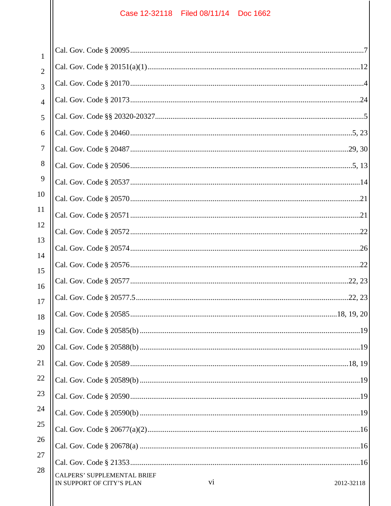$\mathsf{I}$ 

| $\mathbf{1}$   |                                                                                     |
|----------------|-------------------------------------------------------------------------------------|
| $\overline{2}$ |                                                                                     |
| 3              |                                                                                     |
| 4              |                                                                                     |
| 5              |                                                                                     |
| 6              |                                                                                     |
| 7              |                                                                                     |
| 8              |                                                                                     |
| 9              |                                                                                     |
| 10             |                                                                                     |
| 11             |                                                                                     |
| 12             |                                                                                     |
| 13             |                                                                                     |
| 14             |                                                                                     |
| 15<br>16       |                                                                                     |
| 17             |                                                                                     |
| 18             |                                                                                     |
| 19             |                                                                                     |
| 20             |                                                                                     |
| 21             |                                                                                     |
| 22             |                                                                                     |
| 23             |                                                                                     |
| 24             |                                                                                     |
| 25             |                                                                                     |
| 26             |                                                                                     |
| 27             |                                                                                     |
| 28             | <b>CALPERS' SUPPLEMENTAL BRIEF</b><br>vi<br>IN SUPPORT OF CITY'S PLAN<br>2012-32118 |
|                |                                                                                     |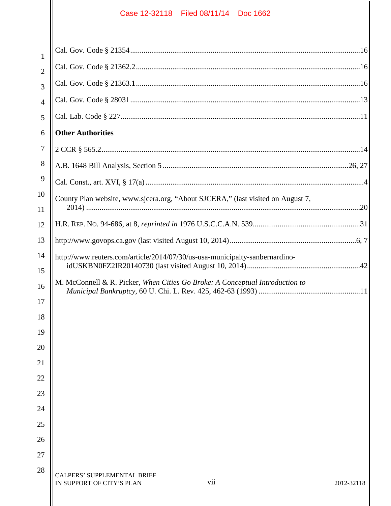| $\mathbf{1}$   |                                                                                      |
|----------------|--------------------------------------------------------------------------------------|
| $\overline{2}$ |                                                                                      |
| 3              |                                                                                      |
| $\overline{4}$ |                                                                                      |
| 5              |                                                                                      |
| 6              | <b>Other Authorities</b>                                                             |
| 7              |                                                                                      |
| 8              |                                                                                      |
| 9              |                                                                                      |
| 10             | County Plan website, www.sjcera.org, "About SJCERA," (last visited on August 7,      |
| 11             |                                                                                      |
| 12             |                                                                                      |
| 13             |                                                                                      |
| 14             | http://www.reuters.com/article/2014/07/30/us-usa-municipalty-sanbernardino-          |
| 15             |                                                                                      |
| 16             | M. McConnell & R. Picker, When Cities Go Broke: A Conceptual Introduction to         |
| 17             |                                                                                      |
| 18             |                                                                                      |
| 19             |                                                                                      |
| 20             |                                                                                      |
| 21             |                                                                                      |
| 22             |                                                                                      |
| 23             |                                                                                      |
| 24             |                                                                                      |
| 25             |                                                                                      |
| 26             |                                                                                      |
| 27             |                                                                                      |
| 28             | <b>CALPERS' SUPPLEMENTAL BRIEF</b><br>vii<br>IN SUPPORT OF CITY'S PLAN<br>2012-32118 |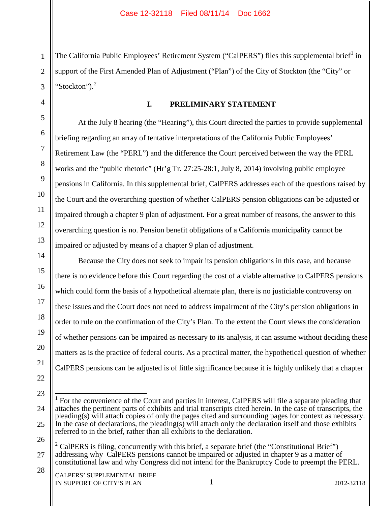1 2 3 The California Public Employees' Retirement System ("CalPERS") files this supplemental brief<sup>1</sup> in support of the First Amended Plan of Adjustment ("Plan") of the City of Stockton (the "City" or "Stockton"). $<sup>2</sup>$ </sup>

4 5

6

7

8

9

10

11

12

13

14

15

16

17

18

19

20

21

# **I. PRELIMINARY STATEMENT**

At the July 8 hearing (the "Hearing"), this Court directed the parties to provide supplemental briefing regarding an array of tentative interpretations of the California Public Employees' Retirement Law (the "PERL") and the difference the Court perceived between the way the PERL works and the "public rhetoric" (Hr'g Tr. 27:25-28:1, July 8, 2014) involving public employee pensions in California. In this supplemental brief, CalPERS addresses each of the questions raised by the Court and the overarching question of whether CalPERS pension obligations can be adjusted or impaired through a chapter 9 plan of adjustment. For a great number of reasons, the answer to this overarching question is no. Pension benefit obligations of a California municipality cannot be impaired or adjusted by means of a chapter 9 plan of adjustment.

Because the City does not seek to impair its pension obligations in this case, and because there is no evidence before this Court regarding the cost of a viable alternative to CalPERS pensions which could form the basis of a hypothetical alternate plan, there is no justiciable controversy on these issues and the Court does not need to address impairment of the City's pension obligations in order to rule on the confirmation of the City's Plan. To the extent the Court views the consideration of whether pensions can be impaired as necessary to its analysis, it can assume without deciding these matters as is the practice of federal courts. As a practical matter, the hypothetical question of whether CalPERS pensions can be adjusted is of little significance because it is highly unlikely that a chapter

26

<sup>22</sup> 23

<sup>24</sup> 25 1 For the convenience of the Court and parties in interest, CalPERS will file a separate pleading that attaches the pertinent parts of exhibits and trial transcripts cited herein. In the case of transcripts, the pleading(s) will attach copies of only the pages cited and surrounding pages for context as necessary. In the case of declarations, the pleading(s) will attach only the declaration itself and those exhibits referred to in the brief, rather than all exhibits to the declaration.

<sup>27</sup> 28  $2$  CalPERS is filing, concurrently with this brief, a separate brief (the "Constitutional Brief") addressing why CalPERS pensions cannot be impaired or adjusted in chapter 9 as a matter of constitutional law and why Congress did not intend for the Bankruptcy Code to preempt the PERL.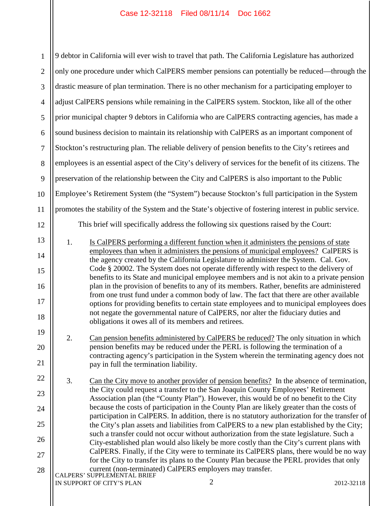| $\mathbf{1}$   | 9 debtor in California will ever wish to travel that path. The California Legislature has authorized                                                                                         |  |  |  |  |  |  |
|----------------|----------------------------------------------------------------------------------------------------------------------------------------------------------------------------------------------|--|--|--|--|--|--|
| $\mathbf{2}$   | only one procedure under which CalPERS member pensions can potentially be reduced—through the                                                                                                |  |  |  |  |  |  |
| 3              | drastic measure of plan termination. There is no other mechanism for a participating employer to                                                                                             |  |  |  |  |  |  |
| $\overline{4}$ | adjust CalPERS pensions while remaining in the CalPERS system. Stockton, like all of the other                                                                                               |  |  |  |  |  |  |
| $\mathfrak{S}$ | prior municipal chapter 9 debtors in California who are CalPERS contracting agencies, has made a                                                                                             |  |  |  |  |  |  |
| 6              | sound business decision to maintain its relationship with CalPERS as an important component of                                                                                               |  |  |  |  |  |  |
| $\tau$         | Stockton's restructuring plan. The reliable delivery of pension benefits to the City's retirees and                                                                                          |  |  |  |  |  |  |
| 8              | employees is an essential aspect of the City's delivery of services for the benefit of its citizens. The                                                                                     |  |  |  |  |  |  |
| 9              | preservation of the relationship between the City and CalPERS is also important to the Public                                                                                                |  |  |  |  |  |  |
| 10             | Employee's Retirement System (the "System") because Stockton's full participation in the System                                                                                              |  |  |  |  |  |  |
| 11             | promotes the stability of the System and the State's objective of fostering interest in public service.                                                                                      |  |  |  |  |  |  |
| 12             | This brief will specifically address the following six questions raised by the Court:                                                                                                        |  |  |  |  |  |  |
| 13             | 1.<br>Is CalPERS performing a different function when it administers the pensions of state                                                                                                   |  |  |  |  |  |  |
| 14             | employees than when it administers the pensions of municipal employees? CalPERS is<br>the agency created by the California Legislature to administer the System. Cal. Gov.                   |  |  |  |  |  |  |
| 15             | Code § 20002. The System does not operate differently with respect to the delivery of<br>benefits to its State and municipal employee members and is not akin to a private pension           |  |  |  |  |  |  |
| 16             | plan in the provision of benefits to any of its members. Rather, benefits are administered                                                                                                   |  |  |  |  |  |  |
| 17             | from one trust fund under a common body of law. The fact that there are other available<br>options for providing benefits to certain state employees and to municipal employees does         |  |  |  |  |  |  |
| 18             | not negate the governmental nature of CalPERS, nor alter the fiduciary duties and<br>obligations it owes all of its members and retirees.                                                    |  |  |  |  |  |  |
| 19             | Can pension benefits administered by CalPERS be reduced? The only situation in which<br>2.                                                                                                   |  |  |  |  |  |  |
| 20             | pension benefits may be reduced under the PERL is following the termination of a                                                                                                             |  |  |  |  |  |  |
| 21             | contracting agency's participation in the System wherein the terminating agency does not<br>pay in full the termination liability.                                                           |  |  |  |  |  |  |
| 22             | 3.<br>Can the City move to another provider of pension benefits? In the absence of termination,                                                                                              |  |  |  |  |  |  |
| 23             | the City could request a transfer to the San Joaquin County Employees' Retirement<br>Association plan (the "County Plan"). However, this would be of no benefit to the City                  |  |  |  |  |  |  |
| 24             | because the costs of participation in the County Plan are likely greater than the costs of                                                                                                   |  |  |  |  |  |  |
| 25             | participation in CalPERS. In addition, there is no statutory authorization for the transfer of<br>the City's plan assets and liabilities from CalPERS to a new plan established by the City; |  |  |  |  |  |  |
| 26             | such a transfer could not occur without authorization from the state legislature. Such a<br>City-established plan would also likely be more costly than the City's current plans with        |  |  |  |  |  |  |
| 27             | CalPERS. Finally, if the City were to terminate its CalPERS plans, there would be no way<br>for the City to transfer its plans to the County Plan because the PERL provides that only        |  |  |  |  |  |  |
| 28             | current (non-terminated) CalPERS employers may transfer.<br>CALPERS' SUPPLEMENTAL BRIEF                                                                                                      |  |  |  |  |  |  |
|                | 2<br>IN SUPPORT OF CITY'S PLAN<br>2012-32118                                                                                                                                                 |  |  |  |  |  |  |
|                |                                                                                                                                                                                              |  |  |  |  |  |  |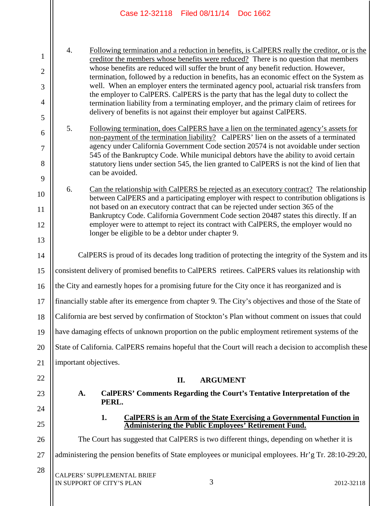|                                                  |                           | Case 12-32118 Filed 08/11/14 Doc 1662                                   |                       |                                                                                                                                                                                                                                                                                                                                                                                                                                                                    |            |
|--------------------------------------------------|---------------------------|-------------------------------------------------------------------------|-----------------------|--------------------------------------------------------------------------------------------------------------------------------------------------------------------------------------------------------------------------------------------------------------------------------------------------------------------------------------------------------------------------------------------------------------------------------------------------------------------|------------|
| $\mathbf{1}$<br>$\mathfrak{2}$<br>$\mathfrak{Z}$ | 4.                        |                                                                         |                       | Following termination and a reduction in benefits, is CalPERS really the creditor, or is the<br>creditor the members whose benefits were reduced? There is no question that members<br>whose benefits are reduced will suffer the brunt of any benefit reduction. However,<br>termination, followed by a reduction in benefits, has an economic effect on the System as<br>well. When an employer enters the terminated agency pool, actuarial risk transfers from |            |
| $\overline{4}$<br>5                              |                           | delivery of benefits is not against their employer but against CalPERS. |                       | the employer to CalPERS. CalPERS is the party that has the legal duty to collect the<br>termination liability from a terminating employer, and the primary claim of retirees for                                                                                                                                                                                                                                                                                   |            |
| 6<br>$\tau$<br>8<br>9                            | 5.                        | can be avoided.                                                         |                       | Following termination, does CalPERS have a lien on the terminated agency's assets for<br>non-payment of the termination liability? CalPERS' lien on the assets of a terminated<br>agency under California Government Code section 20574 is not avoidable under section<br>545 of the Bankruptcy Code. While municipal debtors have the ability to avoid certain<br>statutory liens under section 545, the lien granted to CalPERS is not the kind of lien that     |            |
| 10<br>11<br>12<br>13                             | 6.                        | longer be eligible to be a debtor under chapter 9.                      |                       | Can the relationship with CalPERS be rejected as an executory contract? The relationship<br>between CalPERS and a participating employer with respect to contribution obligations is<br>not based on an executory contract that can be rejected under section 365 of the<br>Bankruptcy Code. California Government Code section 20487 states this directly. If an<br>employer were to attempt to reject its contract with CalPERS, the employer would no           |            |
| 14                                               |                           |                                                                         |                       | CalPERS is proud of its decades long tradition of protecting the integrity of the System and its                                                                                                                                                                                                                                                                                                                                                                   |            |
| 15                                               |                           |                                                                         |                       | consistent delivery of promised benefits to CalPERS retirees. CalPERS values its relationship with                                                                                                                                                                                                                                                                                                                                                                 |            |
| 16                                               |                           |                                                                         |                       | the City and earnestly hopes for a promising future for the City once it has reorganized and is                                                                                                                                                                                                                                                                                                                                                                    |            |
| 17                                               |                           |                                                                         |                       | financially stable after its emergence from chapter 9. The City's objectives and those of the State of                                                                                                                                                                                                                                                                                                                                                             |            |
| 18                                               |                           |                                                                         |                       | California are best served by confirmation of Stockton's Plan without comment on issues that could                                                                                                                                                                                                                                                                                                                                                                 |            |
| 19                                               |                           |                                                                         |                       | have damaging effects of unknown proportion on the public employment retirement systems of the                                                                                                                                                                                                                                                                                                                                                                     |            |
| 20                                               |                           |                                                                         |                       | State of California. CalPERS remains hopeful that the Court will reach a decision to accomplish these                                                                                                                                                                                                                                                                                                                                                              |            |
| 21                                               | important objectives.     |                                                                         |                       |                                                                                                                                                                                                                                                                                                                                                                                                                                                                    |            |
| 22                                               |                           |                                                                         | <b>ARGUMENT</b><br>П. |                                                                                                                                                                                                                                                                                                                                                                                                                                                                    |            |
| 23                                               | A.                        | PERL.                                                                   |                       | <b>CalPERS' Comments Regarding the Court's Tentative Interpretation of the</b>                                                                                                                                                                                                                                                                                                                                                                                     |            |
| 24                                               |                           | 1.                                                                      |                       | <b>CalPERS</b> is an Arm of the State Exercising a Governmental Function in                                                                                                                                                                                                                                                                                                                                                                                        |            |
| 25                                               |                           |                                                                         |                       | <b>Administering the Public Employees' Retirement Fund.</b>                                                                                                                                                                                                                                                                                                                                                                                                        |            |
| 26                                               |                           |                                                                         |                       | The Court has suggested that CalPERS is two different things, depending on whether it is                                                                                                                                                                                                                                                                                                                                                                           |            |
| 27                                               |                           |                                                                         |                       | administering the pension benefits of State employees or municipal employees. Hr'g Tr. 28:10-29:20,                                                                                                                                                                                                                                                                                                                                                                |            |
| 28                                               | IN SUPPORT OF CITY'S PLAN | <b>CALPERS' SUPPLEMENTAL BRIEF</b>                                      | 3                     |                                                                                                                                                                                                                                                                                                                                                                                                                                                                    | 2012-32118 |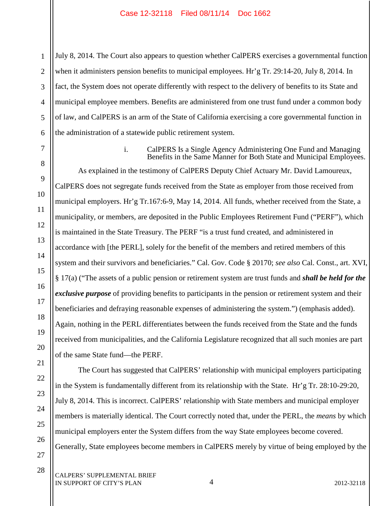1 2 3 4 5 6 July 8, 2014. The Court also appears to question whether CalPERS exercises a governmental function when it administers pension benefits to municipal employees. Hr'g Tr. 29:14-20, July 8, 2014. In fact, the System does not operate differently with respect to the delivery of benefits to its State and municipal employee members. Benefits are administered from one trust fund under a common body of law, and CalPERS is an arm of the State of California exercising a core governmental function in the administration of a statewide public retirement system.

7 8

9

10

11

12

13

14

15

16

17

18

19

20

21

22

23

24

25

26

27

28

i. CalPERS Is a Single Agency Administering One Fund and Managing Benefits in the Same Manner for Both State and Municipal Employees.

As explained in the testimony of CalPERS Deputy Chief Actuary Mr. David Lamoureux, CalPERS does not segregate funds received from the State as employer from those received from municipal employers. Hr'g Tr.167:6-9, May 14, 2014. All funds, whether received from the State, a municipality, or members, are deposited in the Public Employees Retirement Fund ("PERF"), which is maintained in the State Treasury. The PERF "is a trust fund created, and administered in accordance with [the PERL], solely for the benefit of the members and retired members of this system and their survivors and beneficiaries." Cal. Gov. Code § 20170; *see also* Cal. Const., art. XVI, § 17(a) ("The assets of a public pension or retirement system are trust funds and *shall be held for the exclusive purpose* of providing benefits to participants in the pension or retirement system and their beneficiaries and defraying reasonable expenses of administering the system.") (emphasis added). Again, nothing in the PERL differentiates between the funds received from the State and the funds received from municipalities, and the California Legislature recognized that all such monies are part of the same State fund—the PERF.

The Court has suggested that CalPERS' relationship with municipal employers participating in the System is fundamentally different from its relationship with the State. Hr'g Tr. 28:10-29:20, July 8, 2014. This is incorrect. CalPERS' relationship with State members and municipal employer members is materially identical. The Court correctly noted that, under the PERL, the *means* by which municipal employers enter the System differs from the way State employees become covered. Generally, State employees become members in CalPERS merely by virtue of being employed by the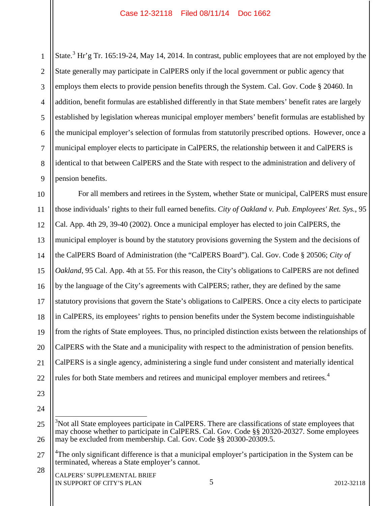1 2 3 4 5 6 7 8 9 State.<sup>3</sup> Hr'g Tr. 165:19-24, May 14, 2014. In contrast, public employees that are not employed by the State generally may participate in CalPERS only if the local government or public agency that employs them elects to provide pension benefits through the System. Cal. Gov. Code § 20460. In addition, benefit formulas are established differently in that State members' benefit rates are largely established by legislation whereas municipal employer members' benefit formulas are established by the municipal employer's selection of formulas from statutorily prescribed options. However, once a municipal employer elects to participate in CalPERS, the relationship between it and CalPERS is identical to that between CalPERS and the State with respect to the administration and delivery of pension benefits.

10 11 12 13 14 15 16 17 18 19 20 21 22 For all members and retirees in the System, whether State or municipal, CalPERS must ensure those individuals' rights to their full earned benefits. *City of Oakland v. Pub. Employees' Ret. Sys.*, 95 Cal. App. 4th 29, 39-40 (2002). Once a municipal employer has elected to join CalPERS, the municipal employer is bound by the statutory provisions governing the System and the decisions of the CalPERS Board of Administration (the "CalPERS Board"). Cal. Gov. Code § 20506; *City of Oakland*, 95 Cal. App. 4th at 55. For this reason, the City's obligations to CalPERS are not defined by the language of the City's agreements with CalPERS; rather, they are defined by the same statutory provisions that govern the State's obligations to CalPERS. Once a city elects to participate in CalPERS, its employees' rights to pension benefits under the System become indistinguishable from the rights of State employees. Thus, no principled distinction exists between the relationships of CalPERS with the State and a municipality with respect to the administration of pension benefits. CalPERS is a single agency, administering a single fund under consistent and materially identical rules for both State members and retirees and municipal employer members and retirees.<sup>4</sup>

23 24

28

<sup>25</sup> 26 <sup>3</sup>Not all State employees participate in CalPERS. There are classifications of state employees that may choose whether to participate in CalPERS. Cal. Gov. Code §§ 20320-20327. Some employees may be excluded from membership. Cal. Gov. Code §§ 20300-20309.5.

<sup>27</sup> <sup>4</sup>The only significant difference is that a municipal employer's participation in the System can be terminated, whereas a State employer's cannot.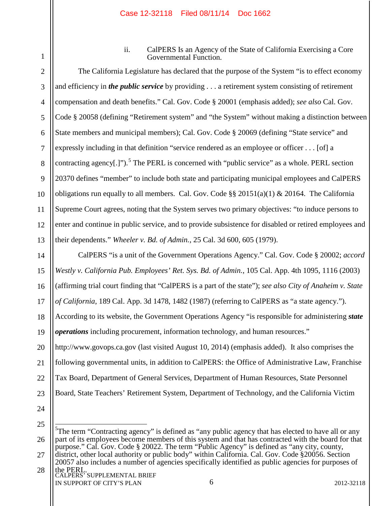1 2 ii. CalPERS Is an Agency of the State of California Exercising a Core Governmental Function.

3 4 5 6 7 8 9 10 11 12 13 The California Legislature has declared that the purpose of the System "is to effect economy and efficiency in *the public service* by providing . . . a retirement system consisting of retirement compensation and death benefits." Cal. Gov. Code § 20001 (emphasis added); *see also* Cal. Gov. Code § 20058 (defining "Retirement system" and "the System" without making a distinction between State members and municipal members); Cal. Gov. Code § 20069 (defining "State service" and expressly including in that definition "service rendered as an employee or officer . . . [of] a contracting agency[.]").<sup>5</sup> The PERL is concerned with "public service" as a whole. PERL section 20370 defines "member" to include both state and participating municipal employees and CalPERS obligations run equally to all members. Cal. Gov. Code  $\S$ § 20151(a)(1) & 20164. The California Supreme Court agrees, noting that the System serves two primary objectives: "to induce persons to enter and continue in public service, and to provide subsistence for disabled or retired employees and their dependents." *Wheeler v. Bd. of Admin.*, 25 Cal. 3d 600, 605 (1979).

14 15 16 17 18 19 20 21 22 23 24 CalPERS "is a unit of the Government Operations Agency." Cal. Gov. Code § 20002; *accord Westly v. California Pub. Employees' Ret. Sys. Bd. of Admin.*, 105 Cal. App. 4th 1095, 1116 (2003) (affirming trial court finding that "CalPERS is a part of the state"); *see also City of Anaheim v. State of California*, 189 Cal. App. 3d 1478, 1482 (1987) (referring to CalPERS as "a state agency."). According to its website, the Government Operations Agency "is responsible for administering *state operations* including procurement, information technology, and human resources." http://www.govops.ca.gov (last visited August 10, 2014) (emphasis added). It also comprises the following governmental units, in addition to CalPERS: the Office of Administrative Law, Franchise Tax Board, Department of General Services, Department of Human Resources, State Personnel Board, State Teachers' Retirement System, Department of Technology, and the California Victim

25

26 5 The term "Contracting agency" is defined as "any public agency that has elected to have all or any part of its employees become members of this system and that has contracted with the board for that purpose." Cal. Gov. Code § 20022. The term "Public Agency" is defined as "any city, county,

- 27 28 district, other local authority or public body" within California. Cal. Gov. Code §20056. Section 20057 also includes a number of agencies specifically identified as public agencies for purposes of
	- the PERL.<br>CALPERS' SUPPLEMENTAL BRIEF IN SUPPORT OF CITY'S PLAN 2012-32118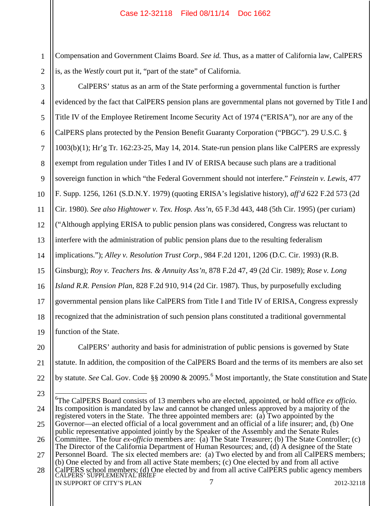1 2 Compensation and Government Claims Board. *See id.* Thus, as a matter of California law, CalPERS is, as the *Westly* court put it, "part of the state" of California.

3 4 5 6 7 8 9 10 11 12 13 14 15 16 17 18 19 CalPERS' status as an arm of the State performing a governmental function is further evidenced by the fact that CalPERS pension plans are governmental plans not governed by Title I and Title IV of the Employee Retirement Income Security Act of 1974 ("ERISA"), nor are any of the CalPERS plans protected by the Pension Benefit Guaranty Corporation ("PBGC"). 29 U.S.C. § 1003(b)(1); Hr'g Tr. 162:23-25, May 14, 2014. State-run pension plans like CalPERS are expressly exempt from regulation under Titles I and IV of ERISA because such plans are a traditional sovereign function in which "the Federal Government should not interfere." *Feinstein v. Lewis*, 477 F. Supp. 1256, 1261 (S.D.N.Y. 1979) (quoting ERISA's legislative history), *aff'd* 622 F.2d 573 (2d Cir. 1980). *See also Hightower v. Tex. Hosp. Ass'n*, 65 F.3d 443, 448 (5th Cir. 1995) (per curiam) ("Although applying ERISA to public pension plans was considered, Congress was reluctant to interfere with the administration of public pension plans due to the resulting federalism implications."); *Alley v. Resolution Trust Corp.*, 984 F.2d 1201, 1206 (D.C. Cir. 1993) (R.B. Ginsburg); *Roy v. Teachers Ins. & Annuity Ass'n*, 878 F.2d 47, 49 (2d Cir. 1989); *Rose v. Long Island R.R. Pension Plan*, 828 F.2d 910, 914 (2d Cir. 1987). Thus, by purposefully excluding governmental pension plans like CalPERS from Title I and Title IV of ERISA, Congress expressly recognized that the administration of such pension plans constituted a traditional governmental function of the State.

20 21 22 CalPERS' authority and basis for administration of public pensions is governed by State statute. In addition, the composition of the CalPERS Board and the terms of its members are also set by statute. *See* Cal. Gov. Code §§ 20090 & 20095.<sup>6</sup> Most importantly, the State constitution and State

7

IN SUPPORT OF CITY'S PLAN 2012-32118

<sup>24</sup> 25 26 27 28 CalPERS school members; (d) One elected by and from all active CalPERS public agency members<br>CALPERS' SUPPLEMENTAL BRIEF <sup>6</sup>The CalPERS Board consists of 13 members who are elected, appointed, or hold office *ex officio*. Its composition is mandated by law and cannot be changed unless approved by a majority of the registered voters in the State. The three appointed members are: (a) Two appointed by the Governor—an elected official of a local government and an official of a life insurer; and, (b) One public representative appointed jointly by the Speaker of the Assembly and the Senate Rules Committee. The four *ex-officio* members are: (a) The State Treasurer; (b) The State Controller; (c) The Director of the California Department of Human Resources; and, (d) A designee of the State Personnel Board. The six elected members are: (a) Two elected by and from all CalPERS members; (b) One elected by and from all active State members; (c) One elected by and from all active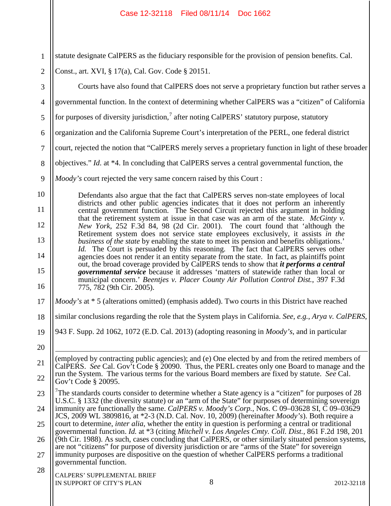| $\mathbf{1}$   | statute designate CalPERS as the fiduciary responsible for the provision of pension benefits. Cal.                                                                                                                                                                                                             |  |  |  |  |  |  |
|----------------|----------------------------------------------------------------------------------------------------------------------------------------------------------------------------------------------------------------------------------------------------------------------------------------------------------------|--|--|--|--|--|--|
| $\overline{2}$ | Const., art. XVI, § 17(a), Cal. Gov. Code § 20151.                                                                                                                                                                                                                                                             |  |  |  |  |  |  |
| 3              | Courts have also found that CalPERS does not serve a proprietary function but rather serves a                                                                                                                                                                                                                  |  |  |  |  |  |  |
| $\overline{4}$ | governmental function. In the context of determining whether CalPERS was a "citizen" of California                                                                                                                                                                                                             |  |  |  |  |  |  |
| 5              | for purposes of diversity jurisdiction, <sup>7</sup> after noting CalPERS' statutory purpose, statutory                                                                                                                                                                                                        |  |  |  |  |  |  |
| 6              | organization and the California Supreme Court's interpretation of the PERL, one federal district                                                                                                                                                                                                               |  |  |  |  |  |  |
| $\tau$         | court, rejected the notion that "CalPERS merely serves a proprietary function in light of these broader                                                                                                                                                                                                        |  |  |  |  |  |  |
| $8\,$          | objectives." Id. at *4. In concluding that CalPERS serves a central governmental function, the                                                                                                                                                                                                                 |  |  |  |  |  |  |
| 9              | <i>Moody's</i> court rejected the very same concern raised by this Court :                                                                                                                                                                                                                                     |  |  |  |  |  |  |
| 10             | Defendants also argue that the fact that CalPERS serves non-state employees of local                                                                                                                                                                                                                           |  |  |  |  |  |  |
| 11             | districts and other public agencies indicates that it does not perform an inherently<br>central government function. The Second Circuit rejected this argument in holding                                                                                                                                      |  |  |  |  |  |  |
| 12             | that the retirement system at issue in that case was an arm of the state. McGinty v.<br>New York, 252 F.3d 84, 98 (2d Cir. 2001). The court found that 'although the                                                                                                                                           |  |  |  |  |  |  |
| 13             | Retirement system does not service state employees exclusively, it assists in the<br>business of the state by enabling the state to meet its pension and benefits obligations.'                                                                                                                                |  |  |  |  |  |  |
| 14             | <i>Id.</i> The Court is persuaded by this reasoning. The fact that CalPERS serves other<br>agencies does not render it an entity separate from the state. In fact, as plaintiffs point                                                                                                                         |  |  |  |  |  |  |
| 15<br>16       | out, the broad coverage provided by CalPERS tends to show that <i>it performs a central</i><br><i>governmental service</i> because it addresses 'matters of statewide rather than local or<br>municipal concern.' Beentjes v. Placer County Air Pollution Control Dist., 397 F.3d<br>775, 782 (9th Cir. 2005). |  |  |  |  |  |  |
| 17             | <i>Moody's</i> at * 5 (alterations omitted) (emphasis added). Two courts in this District have reached                                                                                                                                                                                                         |  |  |  |  |  |  |
| 18             | similar conclusions regarding the role that the System plays in California. See, e.g., Arya v. CalPERS,                                                                                                                                                                                                        |  |  |  |  |  |  |
| 19             | 943 F. Supp. 2d 1062, 1072 (E.D. Cal. 2013) (adopting reasoning in <i>Moody's</i> , and in particular                                                                                                                                                                                                          |  |  |  |  |  |  |
| 20             |                                                                                                                                                                                                                                                                                                                |  |  |  |  |  |  |
| 21             | (employed by contracting public agencies); and (e) One elected by and from the retired members of<br>CalPERS. See Cal. Gov <sup>7</sup> t Code § 20090. Thus, the PERL creates only one Board to manage and the                                                                                                |  |  |  |  |  |  |
| 22             | run the System. The various terms for the various Board members are fixed by statute. See Cal.<br>Gov't Code § 20095.                                                                                                                                                                                          |  |  |  |  |  |  |
| 23             | <sup>7</sup> The standards courts consider to determine whether a State agency is a "citizen" for purposes of 28                                                                                                                                                                                               |  |  |  |  |  |  |
| 24             | U.S.C. § 1332 (the diversity statute) or an "arm of the State" for purposes of determining sovereign<br>immunity are functionally the same. CalPERS v. Moody's Corp., Nos. C 09-03628 SI, C 09-03629                                                                                                           |  |  |  |  |  |  |
| 25             | JCS, 2009 WL 3809816, at *2-3 (N.D. Cal. Nov. 10, 2009) (hereinafter <i>Moody's</i> ). Both require a<br>court to determine, <i>inter alia</i> , whether the entity in question is performing a central or traditional                                                                                         |  |  |  |  |  |  |
| 26             | governmental function. Id. at *3 (citing Mitchell v. Los Angeles Cmty. Coll. Dist., 861 F.2d 198, 201<br>(9th Cir. 1988). As such, cases concluding that CalPERS, or other similarly situated pension systems,                                                                                                 |  |  |  |  |  |  |
| 27             | are not "citizens" for purpose of diversity jurisdiction or are "arms of the State" for sovereign<br>immunity purposes are dispositive on the question of whether CalPERS performs a traditional<br>governmental function.                                                                                     |  |  |  |  |  |  |
| 28             | CALPERS' SUPPLEMENTAL BRIEF<br>8<br>IN SUPPORT OF CITY'S PLAN<br>2012-32118                                                                                                                                                                                                                                    |  |  |  |  |  |  |

 $\blacksquare$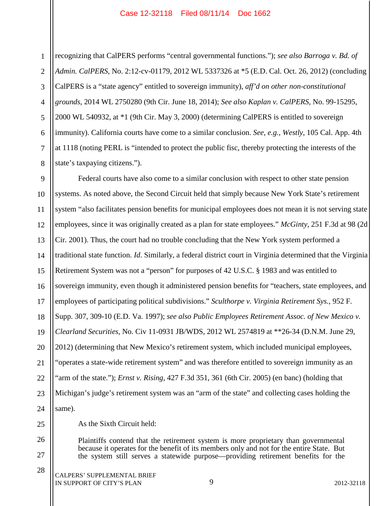1 2 3 4 5 6 7 8 recognizing that CalPERS performs "central governmental functions."); *see also Barroga v. Bd. of Admin. CalPERS*, No. 2:12-cv-01179, 2012 WL 5337326 at \*5 (E.D. Cal. Oct. 26, 2012) (concluding CalPERS is a "state agency" entitled to sovereign immunity), *aff'd on other non-constitutional grounds*, 2014 WL 2750280 (9th Cir. June 18, 2014); *See also Kaplan v. CalPERS*, No. 99-15295, 2000 WL 540932, at \*1 (9th Cir. May 3, 2000) (determining CalPERS is entitled to sovereign immunity). California courts have come to a similar conclusion. *See, e.g.*, *Westly*, 105 Cal. App. 4th at 1118 (noting PERL is "intended to protect the public fisc, thereby protecting the interests of the state's taxpaying citizens.").

9 10 11 12 13 14 15 16 17 18 19 20 21 22 23 24 Federal courts have also come to a similar conclusion with respect to other state pension systems. As noted above, the Second Circuit held that simply because New York State's retirement system "also facilitates pension benefits for municipal employees does not mean it is not serving state employees, since it was originally created as a plan for state employees." *McGinty*, 251 F.3d at 98 (2d Cir. 2001). Thus, the court had no trouble concluding that the New York system performed a traditional state function. *Id*. Similarly, a federal district court in Virginia determined that the Virginia Retirement System was not a "person" for purposes of 42 U.S.C. § 1983 and was entitled to sovereign immunity, even though it administered pension benefits for "teachers, state employees, and employees of participating political subdivisions." *Sculthorpe v. Virginia Retirement Sys.*, 952 F. Supp. 307, 309-10 (E.D. Va. 1997); *see also Public Employees Retirement Assoc. of New Mexico v. Clearland Securities*, No. Civ 11-0931 JB/WDS, 2012 WL 2574819 at \*\*26-34 (D.N.M. June 29, 2012) (determining that New Mexico's retirement system, which included municipal employees, "operates a state-wide retirement system" and was therefore entitled to sovereign immunity as an "arm of the state."); *Ernst v. Rising*, 427 F.3d 351, 361 (6th Cir. 2005) (en banc) (holding that Michigan's judge's retirement system was an "arm of the state" and collecting cases holding the same).

As the Sixth Circuit held:

Plaintiffs contend that the retirement system is more proprietary than governmental because it operates for the benefit of its members only and not for the entire State. But the system still serves a statewide purpose—providing retirement benefits for the

25

26

27

28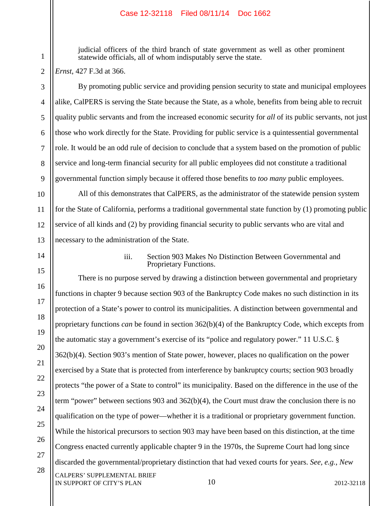judicial officers of the third branch of state government as well as other prominent statewide officials, all of whom indisputably serve the state.

*Ernst*, 427 F.3d at 366.

1

2

3

4

5

6

7

8

9

10

11

12

13

14

15

16

17

18

19

20

21

22

23

24

25

26

27

28

By promoting public service and providing pension security to state and municipal employees alike, CalPERS is serving the State because the State, as a whole, benefits from being able to recruit quality public servants and from the increased economic security for *all* of its public servants, not just those who work directly for the State. Providing for public service is a quintessential governmental role. It would be an odd rule of decision to conclude that a system based on the promotion of public service and long-term financial security for all public employees did not constitute a traditional governmental function simply because it offered those benefits to *too many* public employees.

All of this demonstrates that CalPERS, as the administrator of the statewide pension system for the State of California, performs a traditional governmental state function by (1) promoting public service of all kinds and (2) by providing financial security to public servants who are vital and necessary to the administration of the State.

iii. Section 903 Makes No Distinction Between Governmental and Proprietary Functions.

CALPERS' SUPPLEMENTAL BRIEF There is no purpose served by drawing a distinction between governmental and proprietary functions in chapter 9 because section 903 of the Bankruptcy Code makes no such distinction in its protection of a State's power to control its municipalities. A distinction between governmental and proprietary functions *can* be found in section 362(b)(4) of the Bankruptcy Code, which excepts from the automatic stay a government's exercise of its "police and regulatory power." 11 U.S.C. § 362(b)(4). Section 903's mention of State power, however, places no qualification on the power exercised by a State that is protected from interference by bankruptcy courts; section 903 broadly protects "the power of a State to control" its municipality. Based on the difference in the use of the term "power" between sections 903 and 362(b)(4), the Court must draw the conclusion there is no qualification on the type of power—whether it is a traditional or proprietary government function. While the historical precursors to section 903 may have been based on this distinction, at the time Congress enacted currently applicable chapter 9 in the 1970s, the Supreme Court had long since discarded the governmental/proprietary distinction that had vexed courts for years. *See, e.g.*, *New* 

IN SUPPORT OF CITY'S PLAN 2012-32118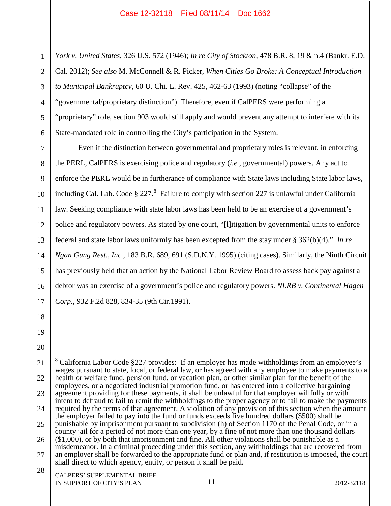1 2 3 4 5 6 *York v. United States*, 326 U.S. 572 (1946); *In re City of Stockton*, 478 B.R. 8, 19 & n.4 (Bankr. E.D. Cal. 2012); *See also* M. McConnell & R. Picker, *When Cities Go Broke: A Conceptual Introduction to Municipal Bankruptcy*, 60 U. Chi. L. Rev. 425, 462-63 (1993) (noting "collapse" of the "governmental/proprietary distinction"). Therefore, even if CalPERS were performing a "proprietary" role, section 903 would still apply and would prevent any attempt to interfere with its State-mandated role in controlling the City's participation in the System.

7 8 9 10 11 12 13 14 15 16 17 Even if the distinction between governmental and proprietary roles is relevant, in enforcing the PERL, CalPERS is exercising police and regulatory (*i.e.*, governmental) powers. Any act to enforce the PERL would be in furtherance of compliance with State laws including State labor laws, including Cal. Lab. Code  $\S 227$ .<sup>8</sup> Failure to comply with section 227 is unlawful under California law. Seeking compliance with state labor laws has been held to be an exercise of a government's police and regulatory powers. As stated by one court, "[l]itigation by governmental units to enforce federal and state labor laws uniformly has been excepted from the stay under § 362(b)(4)." *In re Ngan Gung Rest., Inc.*, 183 B.R. 689, 691 (S.D.N.Y. 1995) (citing cases). Similarly, the Ninth Circuit has previously held that an action by the National Labor Review Board to assess back pay against a debtor was an exercise of a government's police and regulatory powers. *NLRB v. Continental Hagen Corp.*, 932 F.2d 828, 834-35 (9th Cir.1991).

- 18 19
- 20

IN SUPPORT OF CITY'S PLAN 2012-32118

<sup>21</sup> 22 23 24 25 26 27 28 CALPERS' SUPPLEMENTAL BRIEF <sup>8</sup> California Labor Code §227 provides: If an employer has made withholdings from an employee's wages pursuant to state, local, or federal law, or has agreed with any employee to make payments to a health or welfare fund, pension fund, or vacation plan, or other similar plan for the benefit of the employees, or a negotiated industrial promotion fund, or has entered into a collective bargaining agreement providing for these payments, it shall be unlawful for that employer willfully or with intent to defraud to fail to remit the withholdings to the proper agency or to fail to make the payments required by the terms of that agreement. A violation of any provision of this section when the amount the employer failed to pay into the fund or funds exceeds five hundred dollars (\$500) shall be punishable by imprisonment pursuant to subdivision (h) of Section 1170 of the Penal Code, or in a county jail for a period of not more than one year, by a fine of not more than one thousand dollars (\$1,000), or by both that imprisonment and fine. All other violations shall be punishable as a misdemeanor. In a criminal proceeding under this section, any withholdings that are recovered from an employer shall be forwarded to the appropriate fund or plan and, if restitution is imposed, the court shall direct to which agency, entity, or person it shall be paid.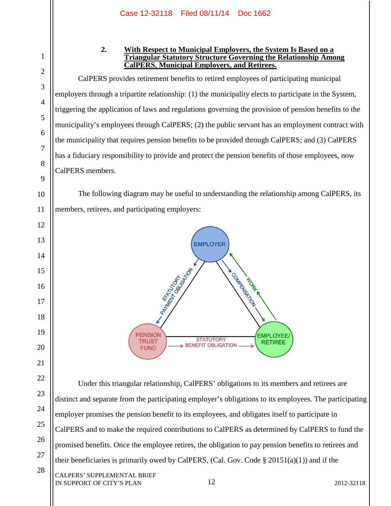2 3

1

4

5

6

7

8

9

10

11

12

13

14

15

16

17

18

19

20

21

22

23

24

25

26

27

28

# **2. With Respect to Municipal Employers, the System Is Based on a Triangular Statutory Structure Governing the Relationship Among CalPERS, Municipal Employers, and Retirees.**

CalPERS provides retirement benefits to retired employees of participating municipal employers through a tripartite relationship: (1) the municipality elects to participate in the System, triggering the application of laws and regulations governing the provision of pension benefits to the municipality's employees through CalPERS; (2) the public servant has an employment contract with the municipality that requires pension benefits to be provided through CalPERS; and (3) CalPERS has a fiduciary responsibility to provide and protect the pension benefits of those employees, now CalPERS members.

The following diagram may be useful to understanding the relationship among CalPERS, its members, retirees, and participating employers:



CALPERS' SUPPLEMENTAL BRIEF Under this triangular relationship, CalPERS' obligations to its members and retirees are distinct and separate from the participating employer's obligations to its employees. The participating employer promises the pension benefit to its employees, and obligates itself to participate in CalPERS and to make the required contributions to CalPERS as determined by CalPERS to fund the promised benefits. Once the employee retires, the obligation to pay pension benefits to retirees and their beneficiaries is primarily owed by CalPERS, (Cal. Gov. Code  $\S 20151(a)(1)$ ) and if the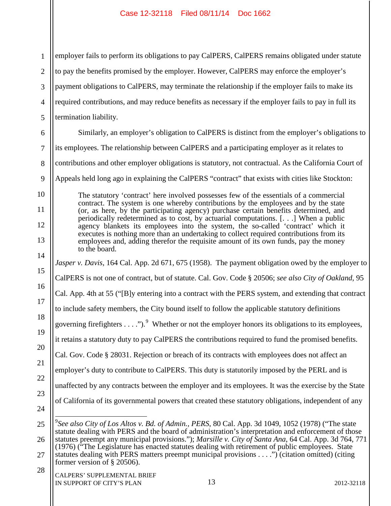| $\mathbf{1}$   | employer fails to perform its obligations to pay CalPERS, CalPERS remains obligated under statute                                                                                                                                                                                                                |  |  |  |  |  |  |
|----------------|------------------------------------------------------------------------------------------------------------------------------------------------------------------------------------------------------------------------------------------------------------------------------------------------------------------|--|--|--|--|--|--|
| $\overline{2}$ | to pay the benefits promised by the employer. However, CalPERS may enforce the employer's                                                                                                                                                                                                                        |  |  |  |  |  |  |
| 3              | payment obligations to CalPERS, may terminate the relationship if the employer fails to make its                                                                                                                                                                                                                 |  |  |  |  |  |  |
| $\overline{4}$ | required contributions, and may reduce benefits as necessary if the employer fails to pay in full its                                                                                                                                                                                                            |  |  |  |  |  |  |
| 5              | termination liability.                                                                                                                                                                                                                                                                                           |  |  |  |  |  |  |
| 6              | Similarly, an employer's obligation to CalPERS is distinct from the employer's obligations to                                                                                                                                                                                                                    |  |  |  |  |  |  |
| $\overline{7}$ | its employees. The relationship between CalPERS and a participating employer as it relates to                                                                                                                                                                                                                    |  |  |  |  |  |  |
| 8              | contributions and other employer obligations is statutory, not contractual. As the California Court of                                                                                                                                                                                                           |  |  |  |  |  |  |
| 9              | Appeals held long ago in explaining the CalPERS "contract" that exists with cities like Stockton:                                                                                                                                                                                                                |  |  |  |  |  |  |
| 10             | The statutory 'contract' here involved possesses few of the essentials of a commercial                                                                                                                                                                                                                           |  |  |  |  |  |  |
| 11             | contract. The system is one whereby contributions by the employees and by the state<br>(or, as here, by the participating agency) purchase certain benefits determined, and                                                                                                                                      |  |  |  |  |  |  |
| 12             | periodically redetermined as to cost, by actuarial computations. [] When a public<br>agency blankets its employees into the system, the so-called 'contract' which it                                                                                                                                            |  |  |  |  |  |  |
| 13             | executes is nothing more than an undertaking to collect required contributions from its<br>employees and, adding therefor the requisite amount of its own funds, pay the money                                                                                                                                   |  |  |  |  |  |  |
| 14             | to the board.<br>Jasper v. Davis, 164 Cal. App. 2d 671, 675 (1958). The payment obligation owed by the employer to                                                                                                                                                                                               |  |  |  |  |  |  |
| 15             | CalPERS is not one of contract, but of statute. Cal. Gov. Code § 20506; see also City of Oakland, 95                                                                                                                                                                                                             |  |  |  |  |  |  |
| 16             | Cal. App. 4th at 55 ("[B]y entering into a contract with the PERS system, and extending that contract                                                                                                                                                                                                            |  |  |  |  |  |  |
| 17             | to include safety members, the City bound itself to follow the applicable statutory definitions                                                                                                                                                                                                                  |  |  |  |  |  |  |
| 18             | governing firefighters $\dots$ "). <sup>9</sup> Whether or not the employer honors its obligations to its employees,                                                                                                                                                                                             |  |  |  |  |  |  |
| 19             | it retains a statutory duty to pay CalPERS the contributions required to fund the promised benefits.                                                                                                                                                                                                             |  |  |  |  |  |  |
| 20             | Cal. Gov. Code § 28031. Rejection or breach of its contracts with employees does not affect an                                                                                                                                                                                                                   |  |  |  |  |  |  |
| 21             | employer's duty to contribute to CalPERS. This duty is statutorily imposed by the PERL and is                                                                                                                                                                                                                    |  |  |  |  |  |  |
| 22             | unaffected by any contracts between the employer and its employees. It was the exercise by the State                                                                                                                                                                                                             |  |  |  |  |  |  |
| 23             | of California of its governmental powers that created these statutory obligations, independent of any                                                                                                                                                                                                            |  |  |  |  |  |  |
| 24             |                                                                                                                                                                                                                                                                                                                  |  |  |  |  |  |  |
| 25             | <sup>9</sup> See also City of Los Altos v. Bd. of Admin., PERS, 80 Cal. App. 3d 1049, 1052 (1978) ("The state                                                                                                                                                                                                    |  |  |  |  |  |  |
| 26             | statute dealing with PERS and the board of administration's interpretation and enforcement of those<br>statutes preempt any municipal provisions."); Marsille v. City of Santa Ana, 64 Cal. App. 3d 764, 771<br>(1976) ("The Legislature has enacted statutes dealing with retirement of public employees. State |  |  |  |  |  |  |
| 27             | statutes dealing with PERS matters preempt municipal provisions") (citation omitted) (citing<br>former version of $\S$ 20506).                                                                                                                                                                                   |  |  |  |  |  |  |
| 28             | CALPERS' SUPPLEMENTAL BRIEF<br>13<br>IN SUPPORT OF CITY'S PLAN<br>2012-32118                                                                                                                                                                                                                                     |  |  |  |  |  |  |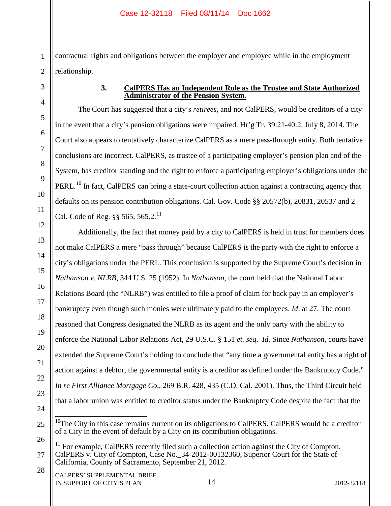1 2 contractual rights and obligations between the employer and employee while in the employment relationship.

3

4

5

6

7

8

9

10

11

12

13

14

15

16

17

18

19

20

21

22

23

24

28

# **3. CalPERS Has an Independent Role as the Trustee and State Authorized Administrator of the Pension System.**

The Court has suggested that a city's *retirees*, and not CalPERS, would be creditors of a city in the event that a city's pension obligations were impaired. Hr'g Tr. 39:21-40:2, July 8, 2014. The Court also appears to tentatively characterize CalPERS as a mere pass-through entity. Both tentative conclusions are incorrect. CalPERS, as trustee of a participating employer's pension plan and of the System, has creditor standing and the right to enforce a participating employer's obligations under the PERL.<sup>10</sup> In fact, CalPERS can bring a state-court collection action against a contracting agency that defaults on its pension contribution obligations. Cal. Gov. Code §§ 20572(b), 20831, 20537 and 2 Cal. Code of Reg.  $\S$ § 565, 565.2.<sup>11</sup>

Additionally, the fact that money paid by a city to CalPERS is held in trust for members does not make CalPERS a mere "pass through" because CalPERS is the party with the right to enforce a city's obligations under the PERL. This conclusion is supported by the Supreme Court's decision in *Nathanson v. NLRB*, 344 U.S. 25 (1952). In *Nathanson*, the court held that the National Labor Relations Board (the "NLRB") was entitled to file a proof of claim for back pay in an employer's bankruptcy even though such monies were ultimately paid to the employees. *Id*. at 27. The court reasoned that Congress designated the NLRB as its agent and the only party with the ability to enforce the National Labor Relations Act, 29 U.S.C. § 151 *et. seq*. *Id*. Since *Nathanson*, courts have extended the Supreme Court's holding to conclude that "any time a governmental entity has a right of action against a debtor, the governmental entity is a creditor as defined under the Bankruptcy Code." *In re First Alliance Mortgage Co*., 269 B.R. 428, 435 (C.D. Cal. 2001). Thus, the Third Circuit held that a labor union was entitled to creditor status under the Bankruptcy Code despite the fact that the

<sup>25</sup>  $10$ <sup>10</sup>The City in this case remains current on its obligations to CalPERS. CalPERS would be a creditor of a City in the event of default by a City on its contribution obligations.

<sup>26</sup> 27  $11$  For example, CalPERS recently filed such a collection action against the City of Compton. CalPERS v. City of Compton, Case No.\_34-2012-00132360, Superior Court for the State of California, County of Sacramento, September 21, 2012.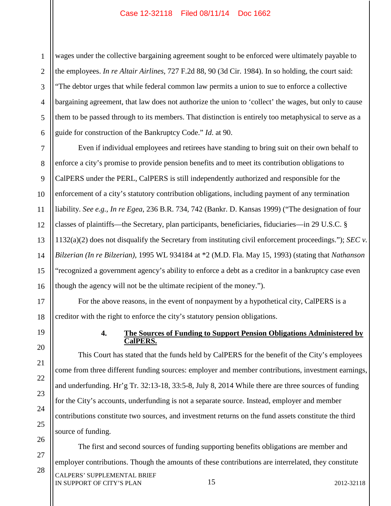1 2 wages under the collective bargaining agreement sought to be enforced were ultimately payable to the employees. *In re Altair Airlines*, 727 F.2d 88, 90 (3d Cir. 1984). In so holding, the court said: "The debtor urges that while federal common law permits a union to sue to enforce a collective bargaining agreement, that law does not authorize the union to 'collect' the wages, but only to cause them to be passed through to its members. That distinction is entirely too metaphysical to serve as a guide for construction of the Bankruptcy Code." *Id*. at 90.

Even if individual employees and retirees have standing to bring suit on their own behalf to enforce a city's promise to provide pension benefits and to meet its contribution obligations to CalPERS under the PERL, CalPERS is still independently authorized and responsible for the enforcement of a city's statutory contribution obligations, including payment of any termination liability. *See e.g., In re Egea*, 236 B.R. 734, 742 (Bankr. D. Kansas 1999) ("The designation of four classes of plaintiffs—the Secretary, plan participants, beneficiaries, fiduciaries—in 29 U.S.C. § 1132(a)(2) does not disqualify the Secretary from instituting civil enforcement proceedings."); *SEC v. Bilzerian (In re Bilzerian)*, 1995 WL 934184 at \*2 (M.D. Fla. May 15, 1993) (stating that *Nathanson* "recognized a government agency's ability to enforce a debt as a creditor in a bankruptcy case even though the agency will not be the ultimate recipient of the money.").

For the above reasons, in the event of nonpayment by a hypothetical city, CalPERS is a creditor with the right to enforce the city's statutory pension obligations.

# **4. The Sources of Funding to Support Pension Obligations Administered by CalPERS.**

This Court has stated that the funds held by CalPERS for the benefit of the City's employees come from three different funding sources: employer and member contributions, investment earnings, and underfunding. Hr'g Tr. 32:13-18, 33:5-8, July 8, 2014 While there are three sources of funding for the City's accounts, underfunding is not a separate source. Instead, employer and member contributions constitute two sources, and investment returns on the fund assets constitute the third source of funding.

15 CALPERS' SUPPLEMENTAL BRIEF IN SUPPORT OF CITY'S PLAN 2012-32118 The first and second sources of funding supporting benefits obligations are member and employer contributions. Though the amounts of these contributions are interrelated, they constitute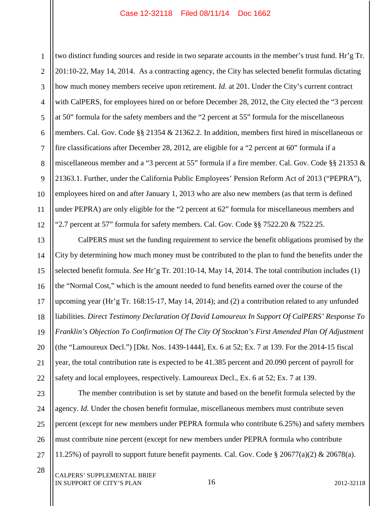1 2 3 4 5 6 7 8 9 10 11 12 two distinct funding sources and reside in two separate accounts in the member's trust fund. Hr'g Tr. 201:10-22, May 14, 2014. As a contracting agency, the City has selected benefit formulas dictating how much money members receive upon retirement. *Id.* at 201. Under the City's current contract with CalPERS, for employees hired on or before December 28, 2012, the City elected the "3 percent at 50" formula for the safety members and the "2 percent at 55" formula for the miscellaneous members. Cal. Gov. Code §§ 21354 & 21362.2. In addition, members first hired in miscellaneous or fire classifications after December 28, 2012, are eligible for a "2 percent at 60" formula if a miscellaneous member and a "3 percent at 55" formula if a fire member. Cal. Gov. Code §§ 21353 & 21363.1. Further, under the California Public Employees' Pension Reform Act of 2013 ("PEPRA"), employees hired on and after January 1, 2013 who are also new members (as that term is defined under PEPRA) are only eligible for the "2 percent at 62" formula for miscellaneous members and "2.7 percent at 57" formula for safety members. Cal. Gov. Code  $\S$ § 7522.20  $\&$  7522.25.

13 14 15 16 17 18 19 20 21 22 CalPERS must set the funding requirement to service the benefit obligations promised by the City by determining how much money must be contributed to the plan to fund the benefits under the selected benefit formula. *See* Hr'g Tr. 201:10-14, May 14, 2014. The total contribution includes (1) the "Normal Cost," which is the amount needed to fund benefits earned over the course of the upcoming year (Hr'g Tr. 168:15-17, May 14, 2014); and (2) a contribution related to any unfunded liabilities. *Direct Testimony Declaration Of David Lamoureux In Support Of CalPERS' Response To Franklin's Objection To Confirmation Of The City Of Stockton's First Amended Plan Of Adjustment*  (the "Lamoureux Decl.") [Dkt. Nos. 1439-1444], Ex. 6 at 52; Ex. 7 at 139. For the 2014-15 fiscal year, the total contribution rate is expected to be 41.385 percent and 20.090 percent of payroll for safety and local employees, respectively. Lamoureux Decl., Ex. 6 at 52; Ex. 7 at 139.

23 24 25 26 27 The member contribution is set by statute and based on the benefit formula selected by the agency. *Id.* Under the chosen benefit formulae, miscellaneous members must contribute seven percent (except for new members under PEPRA formula who contribute 6.25%) and safety members must contribute nine percent (except for new members under PEPRA formula who contribute 11.25%) of payroll to support future benefit payments. Cal. Gov. Code § 20677(a)(2) & 20678(a).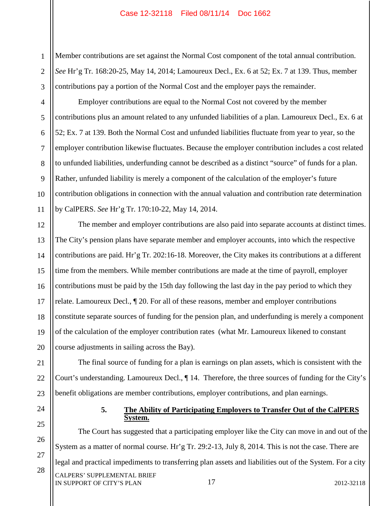1 2 3 Member contributions are set against the Normal Cost component of the total annual contribution. *See* Hr'g Tr. 168:20-25, May 14, 2014; Lamoureux Decl., Ex. 6 at 52; Ex. 7 at 139. Thus, member contributions pay a portion of the Normal Cost and the employer pays the remainder.

4 5 6 7 8 9 10 11 Employer contributions are equal to the Normal Cost not covered by the member contributions plus an amount related to any unfunded liabilities of a plan. Lamoureux Decl., Ex. 6 at 52; Ex. 7 at 139. Both the Normal Cost and unfunded liabilities fluctuate from year to year, so the employer contribution likewise fluctuates. Because the employer contribution includes a cost related to unfunded liabilities, underfunding cannot be described as a distinct "source" of funds for a plan. Rather, unfunded liability is merely a component of the calculation of the employer's future contribution obligations in connection with the annual valuation and contribution rate determination by CalPERS. *See* Hr'g Tr. 170:10-22, May 14, 2014.

12 13 14 15 16 17 18 19 20 The member and employer contributions are also paid into separate accounts at distinct times. The City's pension plans have separate member and employer accounts, into which the respective contributions are paid. Hr'g Tr. 202:16-18. Moreover, the City makes its contributions at a different time from the members. While member contributions are made at the time of payroll, employer contributions must be paid by the 15th day following the last day in the pay period to which they relate. Lamoureux Decl., ¶ 20. For all of these reasons, member and employer contributions constitute separate sources of funding for the pension plan, and underfunding is merely a component of the calculation of the employer contribution rates (what Mr. Lamoureux likened to constant course adjustments in sailing across the Bay).

21 22 23 The final source of funding for a plan is earnings on plan assets, which is consistent with the Court's understanding. Lamoureux Decl., ¶ 14. Therefore, the three sources of funding for the City's benefit obligations are member contributions, employer contributions, and plan earnings.

24

25

26

27

28

### **5. The Ability of Participating Employers to Transfer Out of the CalPERS System.**

17 CALPERS' SUPPLEMENTAL BRIEF IN SUPPORT OF CITY'S PLAN 2012-32118 The Court has suggested that a participating employer like the City can move in and out of the System as a matter of normal course. Hr'g Tr. 29:2-13, July 8, 2014. This is not the case. There are legal and practical impediments to transferring plan assets and liabilities out of the System. For a city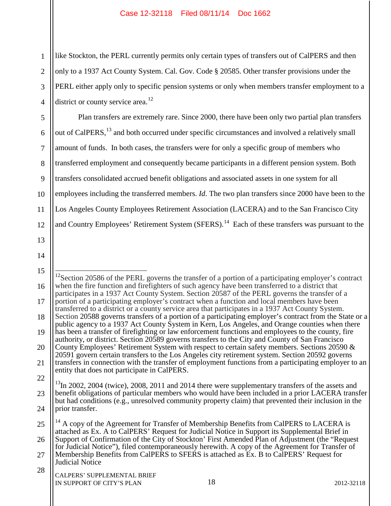1 2 3 4 like Stockton, the PERL currently permits only certain types of transfers out of CalPERS and then only to a 1937 Act County System. Cal. Gov. Code § 20585. Other transfer provisions under the PERL either apply only to specific pension systems or only when members transfer employment to a district or county service area.<sup>12</sup>

5 6 7 8 9 10 11 12 Plan transfers are extremely rare. Since 2000, there have been only two partial plan transfers out of CalPERS,<sup>13</sup> and both occurred under specific circumstances and involved a relatively small amount of funds. In both cases, the transfers were for only a specific group of members who transferred employment and consequently became participants in a different pension system. Both transfers consolidated accrued benefit obligations and associated assets in one system for all employees including the transferred members. *Id*. The two plan transfers since 2000 have been to the Los Angeles County Employees Retirement Association (LACERA) and to the San Francisco City and Country Employees' Retirement System (SFERS).<sup>14</sup> Each of these transfers was pursuant to the

<sup>15</sup> 16 17 18 19 20 21 22 23 24 25 26 <sup>12</sup>Section 20586 of the PERL governs the transfer of a portion of a participating employer's contract when the fire function and firefighters of such agency have been transferred to a district that participates in a 1937 Act County System. Section 20587 of the PERL governs the transfer of a portion of a participating employer's contract when a function and local members have been transferred to a district or a county service area that participates in a 1937 Act County System. Section 20588 governs transfers of a portion of a participating employer's contract from the State or a public agency to a 1937 Act County System in Kern, Los Angeles, and Orange counties when there has been a transfer of firefighting or law enforcement functions and employees to the county, fire authority, or district. Section 20589 governs transfers to the City and County of San Francisco County Employees' Retirement System with respect to certain safety members. Sections 20590 & 20591 govern certain transfers to the Los Angeles city retirement system. Section 20592 governs transfers in connection with the transfer of employment functions from a participating employer to an entity that does not participate in CalPERS. <sup>13</sup>In 2002, 2004 (twice), 2008, 2011 and 2014 there were supplementary transfers of the assets and benefit obligations of particular members who would have been included in a prior LACERA transfer but had conditions (e.g., unresolved community property claim) that prevented their inclusion in the prior transfer.  $14$  A copy of the Agreement for Transfer of Membership Benefits from CalPERS to LACERA is attached as Ex. A to CalPERS' Request for Judicial Notice in Support its Supplemental Brief in Support of Confirmation of the City of Stockton' First Amended Plan of Adjustment (the "Request

<sup>27</sup> for Judicial Notice"), filed contemporaneously herewith. A copy of the Agreement for Transfer of Membership Benefits from CalPERS to SFERS is attached as Ex. B to CalPERS' Request for Judicial Notice

<sup>28</sup> CALPERS' SUPPLEMENTAL BRIEF IN SUPPORT OF CITY'S PLAN 2012-32118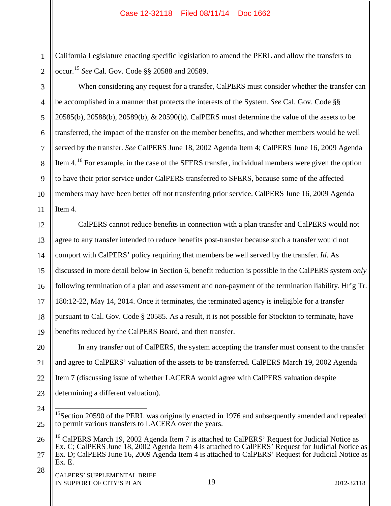1 2 California Legislature enacting specific legislation to amend the PERL and allow the transfers to occur.<sup>15</sup> *See* Cal. Gov. Code §§ 20588 and 20589.

When considering any request for a transfer, CalPERS must consider whether the transfer can be accomplished in a manner that protects the interests of the System. *See* Cal. Gov. Code §§ 20585(b), 20588(b), 20589(b), & 20590(b). CalPERS must determine the value of the assets to be transferred, the impact of the transfer on the member benefits, and whether members would be well served by the transfer. *See* CalPERS June 18, 2002 Agenda Item 4; CalPERS June 16, 2009 Agenda Item 4.<sup>16</sup> For example, in the case of the SFERS transfer, individual members were given the option to have their prior service under CalPERS transferred to SFERS, because some of the affected members may have been better off not transferring prior service. CalPERS June 16, 2009 Agenda Item 4.

12 13 14 15 16 17 18 19 CalPERS cannot reduce benefits in connection with a plan transfer and CalPERS would not agree to any transfer intended to reduce benefits post-transfer because such a transfer would not comport with CalPERS' policy requiring that members be well served by the transfer. *Id*. As discussed in more detail below in Section 6, benefit reduction is possible in the CalPERS system *only* following termination of a plan and assessment and non-payment of the termination liability. Hr'g Tr. 180:12-22, May 14, 2014. Once it terminates, the terminated agency is ineligible for a transfer pursuant to Cal. Gov. Code § 20585. As a result, it is not possible for Stockton to terminate, have benefits reduced by the CalPERS Board, and then transfer.

20 21 22 23 In any transfer out of CalPERS, the system accepting the transfer must consent to the transfer and agree to CalPERS' valuation of the assets to be transferred. CalPERS March 19, 2002 Agenda Item 7 (discussing issue of whether LACERA would agree with CalPERS valuation despite determining a different valuation).

28

24

25

3

4

5

6

7

8

9

10

11

<sup>&</sup>lt;sup>15</sup>Section 20590 of the PERL was originally enacted in 1976 and subsequently amended and repealed to permit various transfers to LACERA over the years.

<sup>26</sup> 27  $16$  CalPERS March 19, 2002 Agenda Item 7 is attached to CalPERS' Request for Judicial Notice as Ex. C; CalPERS June 18, 2002 Agenda Item 4 is attached to CalPERS' Request for Judicial Notice as Ex. D; CalPERS June 16, 2009 Agenda Item 4 is attached to CalPERS' Request for Judicial Notice as Ex. E.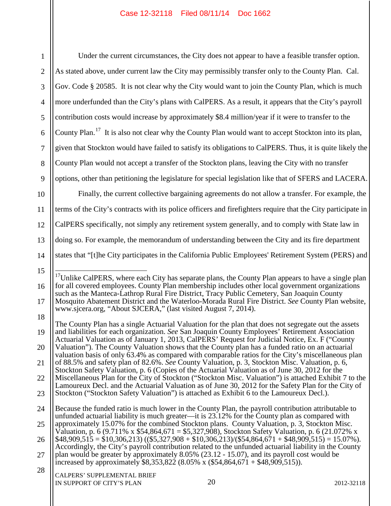| $\mathbf{1}$   | Under the current circumstances, the City does not appear to have a feasible transfer option.                                                                                                                                                                                                                                                                                                                                                                                           |  |  |  |  |  |  |
|----------------|-----------------------------------------------------------------------------------------------------------------------------------------------------------------------------------------------------------------------------------------------------------------------------------------------------------------------------------------------------------------------------------------------------------------------------------------------------------------------------------------|--|--|--|--|--|--|
| $\overline{2}$ | As stated above, under current law the City may permissibly transfer only to the County Plan. Cal.                                                                                                                                                                                                                                                                                                                                                                                      |  |  |  |  |  |  |
| 3              | Gov. Code § 20585. It is not clear why the City would want to join the County Plan, which is much                                                                                                                                                                                                                                                                                                                                                                                       |  |  |  |  |  |  |
| $\overline{4}$ | more underfunded than the City's plans with CalPERS. As a result, it appears that the City's payroll                                                                                                                                                                                                                                                                                                                                                                                    |  |  |  |  |  |  |
| 5              | contribution costs would increase by approximately \$8.4 million/year if it were to transfer to the                                                                                                                                                                                                                                                                                                                                                                                     |  |  |  |  |  |  |
| 6              | County Plan. <sup>17</sup> It is also not clear why the County Plan would want to accept Stockton into its plan,                                                                                                                                                                                                                                                                                                                                                                        |  |  |  |  |  |  |
| $\overline{7}$ | given that Stockton would have failed to satisfy its obligations to CalPERS. Thus, it is quite likely the                                                                                                                                                                                                                                                                                                                                                                               |  |  |  |  |  |  |
| 8              | County Plan would not accept a transfer of the Stockton plans, leaving the City with no transfer                                                                                                                                                                                                                                                                                                                                                                                        |  |  |  |  |  |  |
| 9              | options, other than petitioning the legislature for special legislation like that of SFERS and LACERA.                                                                                                                                                                                                                                                                                                                                                                                  |  |  |  |  |  |  |
| 10             | Finally, the current collective bargaining agreements do not allow a transfer. For example, the                                                                                                                                                                                                                                                                                                                                                                                         |  |  |  |  |  |  |
| 11             | terms of the City's contracts with its police officers and firefighters require that the City participate in                                                                                                                                                                                                                                                                                                                                                                            |  |  |  |  |  |  |
| 12             | CalPERS specifically, not simply any retirement system generally, and to comply with State law in                                                                                                                                                                                                                                                                                                                                                                                       |  |  |  |  |  |  |
| 13             | doing so. For example, the memorandum of understanding between the City and its fire department                                                                                                                                                                                                                                                                                                                                                                                         |  |  |  |  |  |  |
| 14             | states that "[t]he City participates in the California Public Employees' Retirement System (PERS) and                                                                                                                                                                                                                                                                                                                                                                                   |  |  |  |  |  |  |
| 15             | <sup>17</sup> Unlike CalPERS, where each City has separate plans, the County Plan appears to have a single plan<br>for all covered employees. County Plan membership includes other local government organizations<br>such as the Manteca-Lathrop Rural Fire District, Tracy Public Cemetery, San Joaquin County<br>Mosquito Abatement District and the Waterloo-Morada Rural Fire District. See County Plan website,<br>www.sjcera.org, "About SJCERA," (last visited August 7, 2014). |  |  |  |  |  |  |
| 16             |                                                                                                                                                                                                                                                                                                                                                                                                                                                                                         |  |  |  |  |  |  |
| 17             |                                                                                                                                                                                                                                                                                                                                                                                                                                                                                         |  |  |  |  |  |  |
| 18             | The County Plan has a single Actuarial Valuation for the plan that does not segregate out the assets                                                                                                                                                                                                                                                                                                                                                                                    |  |  |  |  |  |  |
| 19             | and liabilities for each organization. See San Joaquin County Employees' Retirement Association<br>Actuarial Valuation as of January 1, 2013, CalPERS' Request for Judicial Notice, Ex. F ("County                                                                                                                                                                                                                                                                                      |  |  |  |  |  |  |
| 20             | Valuation"). The County Valuation shows that the County plan has a funded ratio on an actuarial<br>valuation basis of only 63.4% as compared with comparable ratios for the City's miscellaneous plan                                                                                                                                                                                                                                                                                   |  |  |  |  |  |  |
| 21             | of 88.5% and safety plan of 82.6%. See County Valuation, p. 3, Stockton Misc. Valuation, p. 6,<br>Stockton Safety Valuation, p. 6 (Copies of the Actuarial Valuation as of June 30, 2012 for the                                                                                                                                                                                                                                                                                        |  |  |  |  |  |  |
| 22             | Miscellaneous Plan for the City of Stockton ("Stockton Misc. Valuation") is attached Exhibit 7 to the<br>Lamoureux Decl. and the Actuarial Valuation as of June 30, 2012 for the Safety Plan for the City of<br>Stockton ("Stockton Safety Valuation") is attached as Exhibit 6 to the Lamoureux Decl.).                                                                                                                                                                                |  |  |  |  |  |  |
| 23             |                                                                                                                                                                                                                                                                                                                                                                                                                                                                                         |  |  |  |  |  |  |
| 24             | Because the funded ratio is much lower in the County Plan, the payroll contribution attributable to<br>unfunded actuarial liability is much greater—it is 23.12% for the County plan as compared with                                                                                                                                                                                                                                                                                   |  |  |  |  |  |  |
| 25             | approximately 15.07% for the combined Stockton plans. County Valuation, p. 3, Stockton Misc.<br>Valuation, p. 6 (9.711% x \$54,864,671 = \$5,327,908), Stockton Safety Valuation, p. 6 (21.072% x                                                                                                                                                                                                                                                                                       |  |  |  |  |  |  |
| 26             | $$48,909,515 = $10,306,213$ ((\$5,327,908 + \$10,306,213)/(\$54,864,671 + \$48,909,515) = 15.07%).<br>Accordingly, the City's payroll contribution related to the unfunded actuarial liability in the County                                                                                                                                                                                                                                                                            |  |  |  |  |  |  |
| 27             | plan would be greater by approximately $8.05\%$ (23.12 - 15.07), and its payroll cost would be<br>increased by approximately \$8,353,822 (8.05% x (\$54,864,671 + \$48,909,515)).                                                                                                                                                                                                                                                                                                       |  |  |  |  |  |  |
| 28             | CALPERS' SUPPLEMENTAL BRIEF<br>20<br>IN SUPPORT OF CITY'S PLAN<br>2012-32118                                                                                                                                                                                                                                                                                                                                                                                                            |  |  |  |  |  |  |
|                |                                                                                                                                                                                                                                                                                                                                                                                                                                                                                         |  |  |  |  |  |  |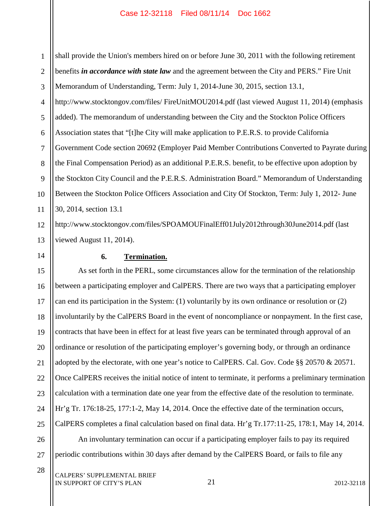1 2 3 4 5 6 7 8 9 10 11 12 shall provide the Union's members hired on or before June 30, 2011 with the following retirement benefits *in accordance with state law* and the agreement between the City and PERS." Fire Unit Memorandum of Understanding, Term: July 1, 2014-June 30, 2015, section 13.1, http://www.stocktongov.com/files/ FireUnitMOU2014.pdf (last viewed August 11, 2014) (emphasis added). The memorandum of understanding between the City and the Stockton Police Officers Association states that "[t]he City will make application to P.E.R.S. to provide California Government Code section 20692 (Employer Paid Member Contributions Converted to Payrate during the Final Compensation Period) as an additional P.E.R.S. benefit, to be effective upon adoption by the Stockton City Council and the P.E.R.S. Administration Board." Memorandum of Understanding Between the Stockton Police Officers Association and City Of Stockton, Term: July 1, 2012- June 30, 2014, section 13.1

13 http://www.stocktongov.com/files/SPOAMOUFinalEff01July2012through30June2014.pdf (last viewed August 11, 2014).

# **6. Termination.**

14

28

15 16 17 18 19 20 21 22 23 24 25 26 As set forth in the PERL, some circumstances allow for the termination of the relationship between a participating employer and CalPERS. There are two ways that a participating employer can end its participation in the System: (1) voluntarily by its own ordinance or resolution or (2) involuntarily by the CalPERS Board in the event of noncompliance or nonpayment. In the first case, contracts that have been in effect for at least five years can be terminated through approval of an ordinance or resolution of the participating employer's governing body, or through an ordinance adopted by the electorate, with one year's notice to CalPERS. Cal. Gov. Code §§ 20570 & 20571. Once CalPERS receives the initial notice of intent to terminate, it performs a preliminary termination calculation with a termination date one year from the effective date of the resolution to terminate. Hr'g Tr. 176:18-25, 177:1-2, May 14, 2014. Once the effective date of the termination occurs, CalPERS completes a final calculation based on final data. Hr'g Tr.177:11-25, 178:1, May 14, 2014. An involuntary termination can occur if a participating employer fails to pay its required

27 periodic contributions within 30 days after demand by the CalPERS Board, or fails to file any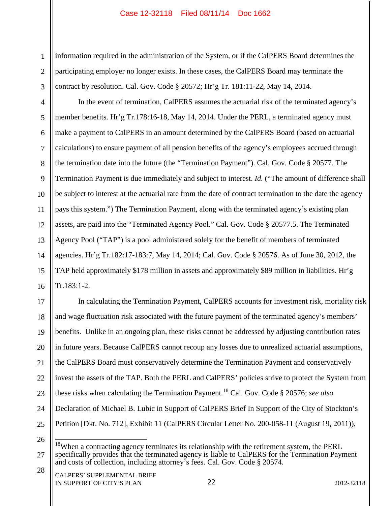1 2 3 information required in the administration of the System, or if the CalPERS Board determines the participating employer no longer exists. In these cases, the CalPERS Board may terminate the contract by resolution. Cal. Gov. Code § 20572; Hr'g Tr. 181:11-22, May 14, 2014.

4 5 6 7 8 9 10 11 12 13 14 15 16 In the event of termination, CalPERS assumes the actuarial risk of the terminated agency's member benefits. Hr'g Tr.178:16-18, May 14, 2014. Under the PERL, a terminated agency must make a payment to CalPERS in an amount determined by the CalPERS Board (based on actuarial calculations) to ensure payment of all pension benefits of the agency's employees accrued through the termination date into the future (the "Termination Payment"). Cal. Gov. Code § 20577. The Termination Payment is due immediately and subject to interest. *Id.* ("The amount of difference shall be subject to interest at the actuarial rate from the date of contract termination to the date the agency pays this system.") The Termination Payment, along with the terminated agency's existing plan assets, are paid into the "Terminated Agency Pool." Cal. Gov. Code § 20577.5. The Terminated Agency Pool ("TAP") is a pool administered solely for the benefit of members of terminated agencies. Hr'g Tr.182:17-183:7, May 14, 2014; Cal. Gov. Code § 20576. As of June 30, 2012, the TAP held approximately \$178 million in assets and approximately \$89 million in liabilities. Hr'g Tr.183:1-2.

17 18 19 20 21 22 23 24 25 In calculating the Termination Payment, CalPERS accounts for investment risk, mortality risk and wage fluctuation risk associated with the future payment of the terminated agency's members' benefits. Unlike in an ongoing plan, these risks cannot be addressed by adjusting contribution rates in future years. Because CalPERS cannot recoup any losses due to unrealized actuarial assumptions, the CalPERS Board must conservatively determine the Termination Payment and conservatively invest the assets of the TAP. Both the PERL and CalPERS' policies strive to protect the System from these risks when calculating the Termination Payment.<sup>18</sup> Cal. Gov. Code § 20576; *see also* Declaration of Michael B. Lubic in Support of CalPERS Brief In Support of the City of Stockton's Petition [Dkt. No. 712], Exhibit 11 (CalPERS Circular Letter No. 200-058-11 (August 19, 2011)),

26

28

<sup>27</sup>  $18$ When a contracting agency terminates its relationship with the retirement system, the PERL specifically provides that the terminated agency is liable to CalPERS for the Termination Payment and costs of collection, including attorney's fees. Cal. Gov. Code § 20574.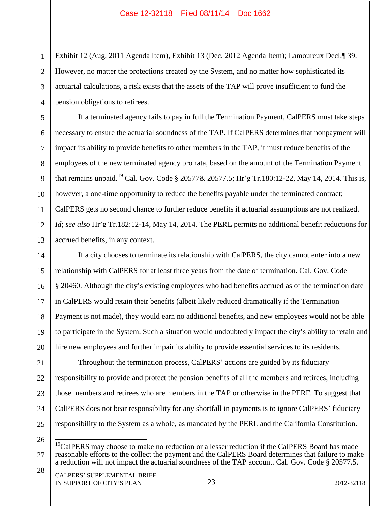1 2 3 4 Exhibit 12 (Aug. 2011 Agenda Item), Exhibit 13 (Dec. 2012 Agenda Item); Lamoureux Decl.¶ 39. However, no matter the protections created by the System, and no matter how sophisticated its actuarial calculations, a risk exists that the assets of the TAP will prove insufficient to fund the pension obligations to retirees.

If a terminated agency fails to pay in full the Termination Payment, CalPERS must take steps necessary to ensure the actuarial soundness of the TAP. If CalPERS determines that nonpayment will impact its ability to provide benefits to other members in the TAP, it must reduce benefits of the employees of the new terminated agency pro rata, based on the amount of the Termination Payment that remains unpaid.<sup>19</sup> Cal. Gov. Code § 20577& 20577.5; Hr'g Tr.180:12-22, May 14, 2014. This is, however, a one-time opportunity to reduce the benefits payable under the terminated contract; CalPERS gets no second chance to further reduce benefits if actuarial assumptions are not realized. *Id*; *see also* Hr'g Tr.182:12-14, May 14, 2014. The PERL permits no additional benefit reductions for accrued benefits, in any context.

14 15 16 17 18 19 20 If a city chooses to terminate its relationship with CalPERS, the city cannot enter into a new relationship with CalPERS for at least three years from the date of termination. Cal. Gov. Code § 20460. Although the city's existing employees who had benefits accrued as of the termination date in CalPERS would retain their benefits (albeit likely reduced dramatically if the Termination Payment is not made), they would earn no additional benefits, and new employees would not be able to participate in the System. Such a situation would undoubtedly impact the city's ability to retain and hire new employees and further impair its ability to provide essential services to its residents.

21 22 23 24 25 Throughout the termination process, CalPERS' actions are guided by its fiduciary responsibility to provide and protect the pension benefits of all the members and retirees, including those members and retirees who are members in the TAP or otherwise in the PERF. To suggest that CalPERS does not bear responsibility for any shortfall in payments is to ignore CalPERS' fiduciary responsibility to the System as a whole, as mandated by the PERL and the California Constitution.

26

5

6

7

8

9

10

11

12

<sup>27</sup> 28  $19$ CalPERS may choose to make no reduction or a lesser reduction if the CalPERS Board has made reasonable efforts to the collect the payment and the CalPERS Board determines that failure to make a reduction will not impact the actuarial soundness of the TAP account. Cal. Gov. Code § 20577.5.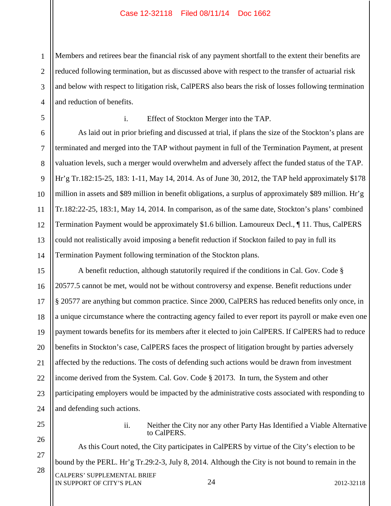1 2 3 4 Members and retirees bear the financial risk of any payment shortfall to the extent their benefits are reduced following termination, but as discussed above with respect to the transfer of actuarial risk and below with respect to litigation risk, CalPERS also bears the risk of losses following termination and reduction of benefits.

13

14

#### i. Effect of Stockton Merger into the TAP.

As laid out in prior briefing and discussed at trial, if plans the size of the Stockton's plans are terminated and merged into the TAP without payment in full of the Termination Payment, at present valuation levels, such a merger would overwhelm and adversely affect the funded status of the TAP. Hr'g Tr.182:15-25, 183: 1-11, May 14, 2014. As of June 30, 2012, the TAP held approximately \$178 million in assets and \$89 million in benefit obligations, a surplus of approximately \$89 million. Hr'g Tr.182:22-25, 183:1, May 14, 2014. In comparison, as of the same date, Stockton's plans' combined Termination Payment would be approximately \$1.6 billion. Lamoureux Decl., ¶ 11. Thus, CalPERS could not realistically avoid imposing a benefit reduction if Stockton failed to pay in full its Termination Payment following termination of the Stockton plans.

15 16 17 18 19 20 21 22 23 24 A benefit reduction, although statutorily required if the conditions in Cal. Gov. Code § 20577.5 cannot be met, would not be without controversy and expense. Benefit reductions under § 20577 are anything but common practice. Since 2000, CalPERS has reduced benefits only once, in a unique circumstance where the contracting agency failed to ever report its payroll or make even one payment towards benefits for its members after it elected to join CalPERS. If CalPERS had to reduce benefits in Stockton's case, CalPERS faces the prospect of litigation brought by parties adversely affected by the reductions. The costs of defending such actions would be drawn from investment income derived from the System. Cal. Gov. Code § 20173. In turn, the System and other participating employers would be impacted by the administrative costs associated with responding to and defending such actions.

25

ii. Neither the City nor any other Party Has Identified a Viable Alternative to CalPERS.

26 27 28 24 CALPERS' SUPPLEMENTAL BRIEF IN SUPPORT OF CITY'S PLAN 2012-32118 As this Court noted, the City participates in CalPERS by virtue of the City's election to be bound by the PERL. Hr'g Tr.29:2-3, July 8, 2014. Although the City is not bound to remain in the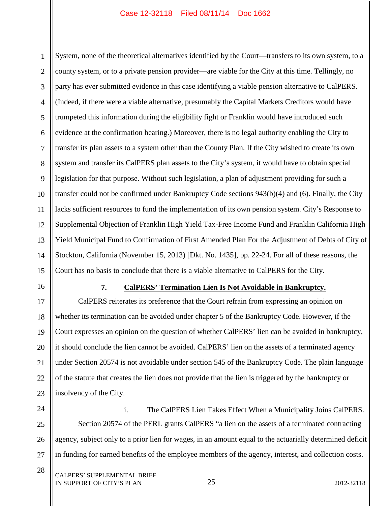1 2 3 4 5 6 7 8 9 10 11 12 13 14 15 System, none of the theoretical alternatives identified by the Court—transfers to its own system, to a county system, or to a private pension provider—are viable for the City at this time. Tellingly, no party has ever submitted evidence in this case identifying a viable pension alternative to CalPERS. (Indeed, if there were a viable alternative, presumably the Capital Markets Creditors would have trumpeted this information during the eligibility fight or Franklin would have introduced such evidence at the confirmation hearing.) Moreover, there is no legal authority enabling the City to transfer its plan assets to a system other than the County Plan. If the City wished to create its own system and transfer its CalPERS plan assets to the City's system, it would have to obtain special legislation for that purpose. Without such legislation, a plan of adjustment providing for such a transfer could not be confirmed under Bankruptcy Code sections 943(b)(4) and (6). Finally, the City lacks sufficient resources to fund the implementation of its own pension system. City's Response to Supplemental Objection of Franklin High Yield Tax-Free Income Fund and Franklin California High Yield Municipal Fund to Confirmation of First Amended Plan For the Adjustment of Debts of City of Stockton, California (November 15, 2013) [Dkt. No. 1435], pp. 22-24. For all of these reasons, the Court has no basis to conclude that there is a viable alternative to CalPERS for the City.

16

#### **7. CalPERS' Termination Lien Is Not Avoidable in Bankruptcy.**

17 18 19 20 21 22 23 CalPERS reiterates its preference that the Court refrain from expressing an opinion on whether its termination can be avoided under chapter 5 of the Bankruptcy Code. However, if the Court expresses an opinion on the question of whether CalPERS' lien can be avoided in bankruptcy, it should conclude the lien cannot be avoided. CalPERS' lien on the assets of a terminated agency under Section 20574 is not avoidable under section 545 of the Bankruptcy Code. The plain language of the statute that creates the lien does not provide that the lien is triggered by the bankruptcy or insolvency of the City.

24 25

26

27

28

i. The CalPERS Lien Takes Effect When a Municipality Joins CalPERS. Section 20574 of the PERL grants CalPERS "a lien on the assets of a terminated contracting agency, subject only to a prior lien for wages, in an amount equal to the actuarially determined deficit in funding for earned benefits of the employee members of the agency, interest, and collection costs.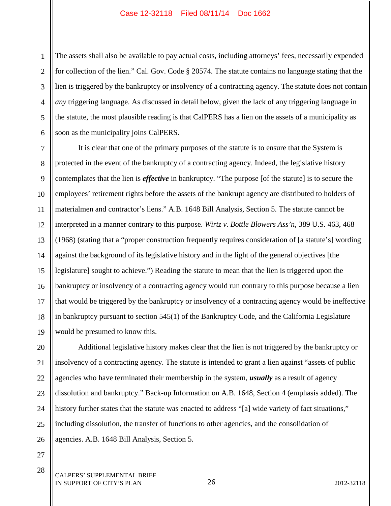1 2 3 4 5 6 The assets shall also be available to pay actual costs, including attorneys' fees, necessarily expended for collection of the lien." Cal. Gov. Code § 20574. The statute contains no language stating that the lien is triggered by the bankruptcy or insolvency of a contracting agency. The statute does not contain *any* triggering language. As discussed in detail below, given the lack of any triggering language in the statute, the most plausible reading is that CalPERS has a lien on the assets of a municipality as soon as the municipality joins CalPERS.

7 8 9 10 11 12 13 14 15 16 17 18 19 It is clear that one of the primary purposes of the statute is to ensure that the System is protected in the event of the bankruptcy of a contracting agency. Indeed, the legislative history contemplates that the lien is *effective* in bankruptcy. "The purpose [of the statute] is to secure the employees' retirement rights before the assets of the bankrupt agency are distributed to holders of materialmen and contractor's liens." A.B. 1648 Bill Analysis, Section 5. The statute cannot be interpreted in a manner contrary to this purpose. *Wirtz v. Bottle Blowers Ass'n*, 389 U.S. 463, 468 (1968) (stating that a "proper construction frequently requires consideration of [a statute's] wording against the background of its legislative history and in the light of the general objectives [the legislature] sought to achieve.") Reading the statute to mean that the lien is triggered upon the bankruptcy or insolvency of a contracting agency would run contrary to this purpose because a lien that would be triggered by the bankruptcy or insolvency of a contracting agency would be ineffective in bankruptcy pursuant to section 545(1) of the Bankruptcy Code, and the California Legislature would be presumed to know this.

20 21 22 23 24 25 26 Additional legislative history makes clear that the lien is not triggered by the bankruptcy or insolvency of a contracting agency. The statute is intended to grant a lien against "assets of public agencies who have terminated their membership in the system, *usually* as a result of agency dissolution and bankruptcy." Back-up Information on A.B. 1648, Section 4 (emphasis added). The history further states that the statute was enacted to address "[a] wide variety of fact situations," including dissolution, the transfer of functions to other agencies, and the consolidation of agencies. A.B. 1648 Bill Analysis, Section 5.

27 28

CALPERS' SUPPLEMENTAL BRIEF IN SUPPORT OF CITY'S PLAN 2012-32118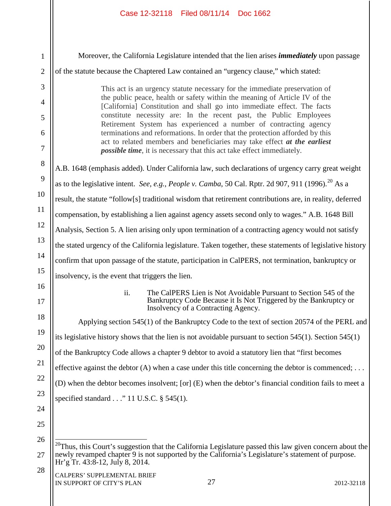| $\mathbf{1}$   | Moreover, the California Legislature intended that the lien arises <i>immediately</i> upon passage                                                                                                                                                                                                                                             |  |  |  |  |  |  |  |
|----------------|------------------------------------------------------------------------------------------------------------------------------------------------------------------------------------------------------------------------------------------------------------------------------------------------------------------------------------------------|--|--|--|--|--|--|--|
| $\overline{2}$ | of the statute because the Chaptered Law contained an "urgency clause," which stated:                                                                                                                                                                                                                                                          |  |  |  |  |  |  |  |
| 3              | This act is an urgency statute necessary for the immediate preservation of                                                                                                                                                                                                                                                                     |  |  |  |  |  |  |  |
| 4              | the public peace, health or safety within the meaning of Article IV of the<br>[California] Constitution and shall go into immediate effect. The facts<br>constitute necessity are: In the recent past, the Public Employees<br>Retirement System has experienced a number of contracting agency                                                |  |  |  |  |  |  |  |
| 5<br>6         |                                                                                                                                                                                                                                                                                                                                                |  |  |  |  |  |  |  |
| $\overline{7}$ | terminations and reformations. In order that the protection afforded by this<br>act to related members and beneficiaries may take effect at the earliest<br><i>possible time</i> , it is necessary that this act take effect immediately.<br>A.B. 1648 (emphasis added). Under California law, such declarations of urgency carry great weight |  |  |  |  |  |  |  |
| 8              |                                                                                                                                                                                                                                                                                                                                                |  |  |  |  |  |  |  |
| 9              |                                                                                                                                                                                                                                                                                                                                                |  |  |  |  |  |  |  |
| 10             | as to the legislative intent. See, e.g., People v. Camba, 50 Cal. Rptr. 2d 907, 911 (1996). <sup>20</sup> As a                                                                                                                                                                                                                                 |  |  |  |  |  |  |  |
| 11             | result, the statute "follow[s] traditional wisdom that retirement contributions are, in reality, deferred                                                                                                                                                                                                                                      |  |  |  |  |  |  |  |
|                | compensation, by establishing a lien against agency assets second only to wages." A.B. 1648 Bill                                                                                                                                                                                                                                               |  |  |  |  |  |  |  |
| 12             | Analysis, Section 5. A lien arising only upon termination of a contracting agency would not satisfy                                                                                                                                                                                                                                            |  |  |  |  |  |  |  |
| 13             | the stated urgency of the California legislature. Taken together, these statements of legislative history                                                                                                                                                                                                                                      |  |  |  |  |  |  |  |
| 14             | confirm that upon passage of the statute, participation in CalPERS, not termination, bankruptcy or                                                                                                                                                                                                                                             |  |  |  |  |  |  |  |
| 15             | insolvency, is the event that triggers the lien.                                                                                                                                                                                                                                                                                               |  |  |  |  |  |  |  |
| 16<br>17       | ii.<br>The CalPERS Lien is Not Avoidable Pursuant to Section 545 of the<br>Bankruptcy Code Because it Is Not Triggered by the Bankruptcy or<br>Insolvency of a Contracting Agency.                                                                                                                                                             |  |  |  |  |  |  |  |
| 18             | Applying section 545(1) of the Bankruptcy Code to the text of section 20574 of the PERL and                                                                                                                                                                                                                                                    |  |  |  |  |  |  |  |
| 19             | its legislative history shows that the lien is not avoidable pursuant to section $545(1)$ . Section $545(1)$                                                                                                                                                                                                                                   |  |  |  |  |  |  |  |
| 20             | of the Bankruptcy Code allows a chapter 9 debtor to avoid a statutory lien that "first becomes"                                                                                                                                                                                                                                                |  |  |  |  |  |  |  |
| 21             | effective against the debtor $(A)$ when a case under this title concerning the debtor is commenced;                                                                                                                                                                                                                                            |  |  |  |  |  |  |  |
| 22             | (D) when the debtor becomes insolvent; [or] (E) when the debtor's financial condition fails to meet a                                                                                                                                                                                                                                          |  |  |  |  |  |  |  |
| 23             | specified standard $\ldots$ " 11 U.S.C. § 545(1).                                                                                                                                                                                                                                                                                              |  |  |  |  |  |  |  |
| 24             |                                                                                                                                                                                                                                                                                                                                                |  |  |  |  |  |  |  |
| 25             |                                                                                                                                                                                                                                                                                                                                                |  |  |  |  |  |  |  |
| 26             | $^{20}$ Thus, this Court's suggestion that the California Legislature passed this law given concern about the<br>newly revamped chapter 9 is not supported by the California's Legislature's statement of purpose.<br>Hr'g Tr. 43:8-12, July 8, 2014.                                                                                          |  |  |  |  |  |  |  |
| 27             |                                                                                                                                                                                                                                                                                                                                                |  |  |  |  |  |  |  |
| 28             | CALPERS' SUPPLEMENTAL BRIEF<br>27<br>IN SUPPORT OF CITY'S PLAN<br>2012-32118                                                                                                                                                                                                                                                                   |  |  |  |  |  |  |  |

 $\parallel$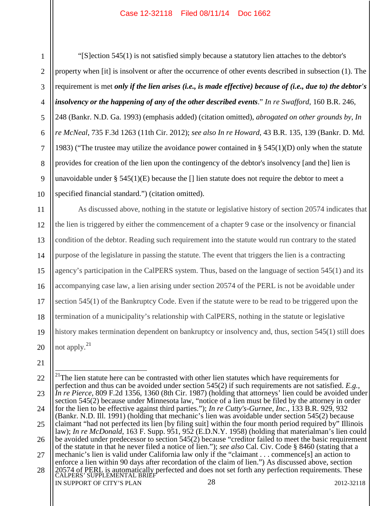1 3 4 5 6 7 8 9 10 "[S]ection 545(1) is not satisfied simply because a statutory lien attaches to the debtor's property when [it] is insolvent or after the occurrence of other events described in subsection (1). The requirement is met *only if the lien arises (i.e., is made effective) because of (i.e., due to) the debtor's insolvency or the happening of any of the other described events*." *In re Swafford*, 160 B.R. 246, 248 (Bankr. N.D. Ga. 1993) (emphasis added) (citation omitted), *abrogated on other grounds by*, *In re McNeal*, 735 F.3d 1263 (11th Cir. 2012); *see also In re Howard*, 43 B.R. 135, 139 (Bankr. D. Md. 1983) ("The trustee may utilize the avoidance power contained in  $\S$  545(1)(D) only when the statute provides for creation of the lien upon the contingency of the debtor's insolvency [and the] lien is unavoidable under  $\S 545(1)(E)$  because the [] lien statute does not require the debtor to meet a specified financial standard.") (citation omitted).

11 12 13 14 15 16 17 18 19 20 As discussed above, nothing in the statute or legislative history of section 20574 indicates that the lien is triggered by either the commencement of a chapter 9 case or the insolvency or financial condition of the debtor. Reading such requirement into the statute would run contrary to the stated purpose of the legislature in passing the statute. The event that triggers the lien is a contracting agency's participation in the CalPERS system. Thus, based on the language of section 545(1) and its accompanying case law, a lien arising under section 20574 of the PERL is not be avoidable under section 545(1) of the Bankruptcy Code. Even if the statute were to be read to be triggered upon the termination of a municipality's relationship with CalPERS, nothing in the statute or legislative history makes termination dependent on bankruptcy or insolvency and, thus, section 545(1) still does not apply.<sup>21</sup>

<sup>22</sup> 23 24 25 26 27 28 28 20574 of PERL is automatically perfected and does not set forth any perfection requirements. These<br>CALPERS' SUPPLEMENTAL BRIEF IN SUPPORT OF CITY'S PLAN 28 2012-32118  $21$ The lien statute here can be contrasted with other lien statutes which have requirements for perfection and thus can be avoided under section 545(2) if such requirements are not satisfied. *E.g.*, *In re Pierce*, 809 F.2d 1356, 1360 (8th Cir. 1987) (holding that attorneys' lien could be avoided under section 545(2) because under Minnesota law, "notice of a lien must be filed by the attorney in order for the lien to be effective against third parties."); *In re Cutty's-Gurnee, Inc.*, 133 B.R. 929, 932 (Bankr. N.D. Ill. 1991) (holding that mechanic's lien was avoidable under section 545(2) because claimant "had not perfected its lien [by filing suit] within the four month period required by" Illinois law); *In re McDonald*, 163 F. Supp. 951, 952 (E.D.N.Y. 1958) (holding that materialman's lien could be avoided under predecessor to section 545(2) because "creditor failed to meet the basic requirement of the statute in that he never filed a notice of lien."); *see also* Cal. Civ. Code § 8460 (stating that a mechanic's lien is valid under California law only if the "claimant . . . commence[s] an action to enforce a lien within 90 days after recordation of the claim of lien.") As discussed above, section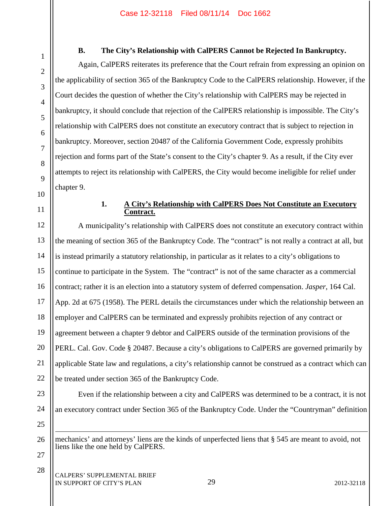# **B. The City's Relationship with CalPERS Cannot be Rejected In Bankruptcy.**

Again, CalPERS reiterates its preference that the Court refrain from expressing an opinion on the applicability of section 365 of the Bankruptcy Code to the CalPERS relationship. However, if the Court decides the question of whether the City's relationship with CalPERS may be rejected in bankruptcy, it should conclude that rejection of the CalPERS relationship is impossible. The City's relationship with CalPERS does not constitute an executory contract that is subject to rejection in bankruptcy. Moreover, section 20487 of the California Government Code, expressly prohibits rejection and forms part of the State's consent to the City's chapter 9. As a result, if the City ever attempts to reject its relationship with CalPERS, the City would become ineligible for relief under chapter 9.

#### **1. A City's Relationship with CalPERS Does Not Constitute an Executory Contract.**

A municipality's relationship with CalPERS does not constitute an executory contract within the meaning of section 365 of the Bankruptcy Code. The "contract" is not really a contract at all, but is instead primarily a statutory relationship, in particular as it relates to a city's obligations to continue to participate in the System. The "contract" is not of the same character as a commercial contract; rather it is an election into a statutory system of deferred compensation. *Jasper*, 164 Cal. App. 2d at 675 (1958). The PERL details the circumstances under which the relationship between an employer and CalPERS can be terminated and expressly prohibits rejection of any contract or agreement between a chapter 9 debtor and CalPERS outside of the termination provisions of the PERL. Cal. Gov. Code § 20487. Because a city's obligations to CalPERS are governed primarily by applicable State law and regulations, a city's relationship cannot be construed as a contract which can be treated under section 365 of the Bankruptcy Code.

 $\overline{a}$ mechanics' and attorneys' liens are the kinds of unperfected liens that § 545 are meant to avoid, not liens like the one held by CalPERS.

an executory contract under Section 365 of the Bankruptcy Code. Under the "Countryman" definition

Even if the relationship between a city and CalPERS was determined to be a contract, it is not

27 28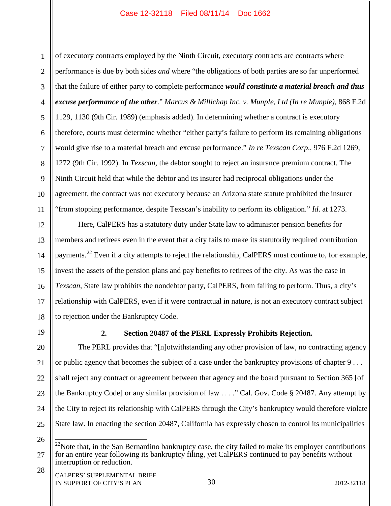1 2 3 4 5 6 7 8 9 10 11 of executory contracts employed by the Ninth Circuit, executory contracts are contracts where performance is due by both sides *and* where "the obligations of both parties are so far unperformed that the failure of either party to complete performance *would constitute a material breach and thus excuse performance of the other*." *Marcus & Millichap Inc. v. Munple, Ltd (In re Munple)*, 868 F.2d 1129, 1130 (9th Cir. 1989) (emphasis added). In determining whether a contract is executory therefore, courts must determine whether "either party's failure to perform its remaining obligations would give rise to a material breach and excuse performance." *In re Texscan Corp*., 976 F.2d 1269, 1272 (9th Cir. 1992). In *Texscan*, the debtor sought to reject an insurance premium contract. The Ninth Circuit held that while the debtor and its insurer had reciprocal obligations under the agreement, the contract was not executory because an Arizona state statute prohibited the insurer "from stopping performance, despite Texscan's inability to perform its obligation." *Id*. at 1273.

18 Here, CalPERS has a statutory duty under State law to administer pension benefits for members and retirees even in the event that a city fails to make its statutorily required contribution payments.<sup>22</sup> Even if a city attempts to reject the relationship, CalPERS must continue to, for example, invest the assets of the pension plans and pay benefits to retirees of the city. As was the case in *Texscan*, State law prohibits the nondebtor party, CalPERS, from failing to perform. Thus, a city's relationship with CalPERS, even if it were contractual in nature, is not an executory contract subject to rejection under the Bankruptcy Code.

19

12

13

14

15

16

17

# **2. Section 20487 of the PERL Expressly Prohibits Rejection.**

20 21 22 23 24 25 The PERL provides that "[n]otwithstanding any other provision of law, no contracting agency or public agency that becomes the subject of a case under the bankruptcy provisions of chapter 9 . . . shall reject any contract or agreement between that agency and the board pursuant to Section 365 [of the Bankruptcy Code] or any similar provision of law . . . ." Cal. Gov. Code § 20487. Any attempt by the City to reject its relationship with CalPERS through the City's bankruptcy would therefore violate State law. In enacting the section 20487, California has expressly chosen to control its municipalities

26

28

<sup>27</sup>  $22$ Note that, in the San Bernardino bankruptcy case, the city failed to make its employer contributions for an entire year following its bankruptcy filing, yet CalPERS continued to pay benefits without interruption or reduction.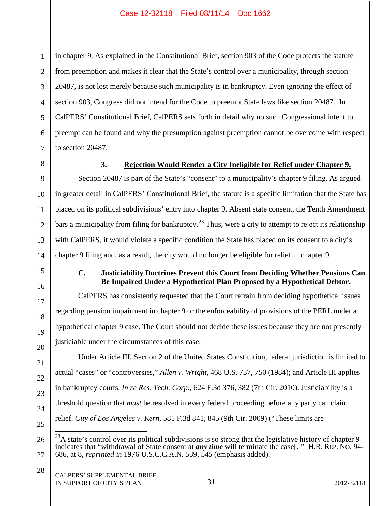1 2 3 4 5 6 7 in chapter 9. As explained in the Constitutional Brief, section 903 of the Code protects the statute from preemption and makes it clear that the State's control over a municipality, through section 20487, is not lost merely because such municipality is in bankruptcy. Even ignoring the effect of section 903, Congress did not intend for the Code to preempt State laws like section 20487. In CalPERS' Constitutional Brief, CalPERS sets forth in detail why no such Congressional intent to preempt can be found and why the presumption against preemption cannot be overcome with respect to section 20487.

8

9

10

11

12

13

14

15

16

17

18

19

20

21

22

23

24

25

26

27

28

# **3. Rejection Would Render a City Ineligible for Relief under Chapter 9.**

Section 20487 is part of the State's "consent" to a municipality's chapter 9 filing. As argued in greater detail in CalPERS' Constitutional Brief, the statute is a specific limitation that the State has placed on its political subdivisions' entry into chapter 9. Absent state consent, the Tenth Amendment bars a municipality from filing for bankruptcy.<sup>23</sup> Thus, were a city to attempt to reject its relationship with CalPERS, it would violate a specific condition the State has placed on its consent to a city's chapter 9 filing and, as a result, the city would no longer be eligible for relief in chapter 9.

# **C. Justiciability Doctrines Prevent this Court from Deciding Whether Pensions Can Be Impaired Under a Hypothetical Plan Proposed by a Hypothetical Debtor.**

CalPERS has consistently requested that the Court refrain from deciding hypothetical issues regarding pension impairment in chapter 9 or the enforceability of provisions of the PERL under a hypothetical chapter 9 case. The Court should not decide these issues because they are not presently justiciable under the circumstances of this case.

Under Article III, Section 2 of the United States Constitution, federal jurisdiction is limited to actual "cases" or "controversies," *Allen v. Wright*, 468 U.S. 737, 750 (1984); and Article III applies in bankruptcy courts. *In re Res. Tech. Corp.*, 624 F.3d 376, 382 (7th Cir. 2010). Justiciability is a threshold question that *must* be resolved in every federal proceeding before any party can claim relief. *City of Los Angeles v. Kern*, 581 F.3d 841, 845 (9th Cir. 2009) ("These limits are

 $^{23}$ A state's control over its political subdivisions is so strong that the legislative history of chapter 9 indicates that "withdrawal of State consent at *any time* will terminate the case[.]" H.R. REP. NO. 94- 686, at 8, *reprinted in* 1976 U.S.C.C.A.N. 539, 545 (emphasis added).

31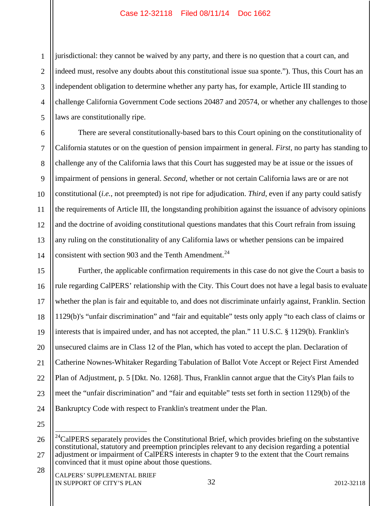1 2 3 4 5 jurisdictional: they cannot be waived by any party, and there is no question that a court can, and indeed must, resolve any doubts about this constitutional issue sua sponte."). Thus, this Court has an independent obligation to determine whether any party has, for example, Article III standing to challenge California Government Code sections 20487 and 20574, or whether any challenges to those laws are constitutionally ripe.

6 7 8 9 10 11 12 13 14 There are several constitutionally-based bars to this Court opining on the constitutionality of California statutes or on the question of pension impairment in general. *First*, no party has standing to challenge any of the California laws that this Court has suggested may be at issue or the issues of impairment of pensions in general. *Second*, whether or not certain California laws are or are not constitutional (*i.e.*, not preempted) is not ripe for adjudication. *Third*, even if any party could satisfy the requirements of Article III, the longstanding prohibition against the issuance of advisory opinions and the doctrine of avoiding constitutional questions mandates that this Court refrain from issuing any ruling on the constitutionality of any California laws or whether pensions can be impaired consistent with section 903 and the Tenth Amendment.<sup>24</sup>

15 16 17 18 19 20 21 22 23 24 Further, the applicable confirmation requirements in this case do not give the Court a basis to rule regarding CalPERS' relationship with the City. This Court does not have a legal basis to evaluate whether the plan is fair and equitable to, and does not discriminate unfairly against, Franklin. Section 1129(b)'s "unfair discrimination" and "fair and equitable" tests only apply "to each class of claims or interests that is impaired under, and has not accepted, the plan." 11 U.S.C. § 1129(b). Franklin's unsecured claims are in Class 12 of the Plan, which has voted to accept the plan. Declaration of Catherine Nownes-Whitaker Regarding Tabulation of Ballot Vote Accept or Reject First Amended Plan of Adjustment, p. 5 [Dkt. No. 1268]. Thus, Franklin cannot argue that the City's Plan fails to meet the "unfair discrimination" and "fair and equitable" tests set forth in section 1129(b) of the Bankruptcy Code with respect to Franklin's treatment under the Plan.

25

<sup>26</sup> 27 28  $^{24}$ CalPERS separately provides the Constitutional Brief, which provides briefing on the substantive constitutional, statutory and preemption principles relevant to any decision regarding a potential adjustment or impairment of CalPERS interests in chapter 9 to the extent that the Court remains convinced that it must opine about those questions.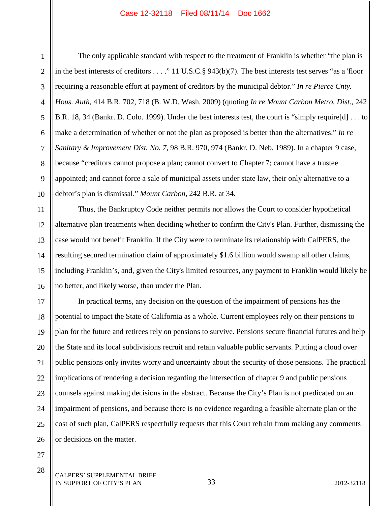1

2

3

5

6

7

8

9

10

The only applicable standard with respect to the treatment of Franklin is whether "the plan is in the best interests of creditors . . . ." 11 U.S.C.§ 943(b)(7). The best interests test serves "as a 'floor requiring a reasonable effort at payment of creditors by the municipal debtor." *In re Pierce Cnty. Hous. Auth*, 414 B.R. 702, 718 (B. W.D. Wash. 2009) (quoting *In re Mount Carbon Metro. Dist.*, 242 B.R. 18, 34 (Bankr. D. Colo. 1999). Under the best interests test, the court is "simply require[d] . . . to make a determination of whether or not the plan as proposed is better than the alternatives." *In re Sanitary & Improvement Dist. No. 7*, 98 B.R. 970, 974 (Bankr. D. Neb. 1989). In a chapter 9 case, because "creditors cannot propose a plan; cannot convert to Chapter 7; cannot have a trustee appointed; and cannot force a sale of municipal assets under state law, their only alternative to a debtor's plan is dismissal." *Mount Carbon*, 242 B.R. at 34.

11 12 13 14 15 16 Thus, the Bankruptcy Code neither permits nor allows the Court to consider hypothetical alternative plan treatments when deciding whether to confirm the City's Plan. Further, dismissing the case would not benefit Franklin. If the City were to terminate its relationship with CalPERS, the resulting secured termination claim of approximately \$1.6 billion would swamp all other claims, including Franklin's, and, given the City's limited resources, any payment to Franklin would likely be no better, and likely worse, than under the Plan.

17 18 19 20 21 22 23 24 25 26 In practical terms, any decision on the question of the impairment of pensions has the potential to impact the State of California as a whole. Current employees rely on their pensions to plan for the future and retirees rely on pensions to survive. Pensions secure financial futures and help the State and its local subdivisions recruit and retain valuable public servants. Putting a cloud over public pensions only invites worry and uncertainty about the security of those pensions. The practical implications of rendering a decision regarding the intersection of chapter 9 and public pensions counsels against making decisions in the abstract. Because the City's Plan is not predicated on an impairment of pensions, and because there is no evidence regarding a feasible alternate plan or the cost of such plan, CalPERS respectfully requests that this Court refrain from making any comments or decisions on the matter.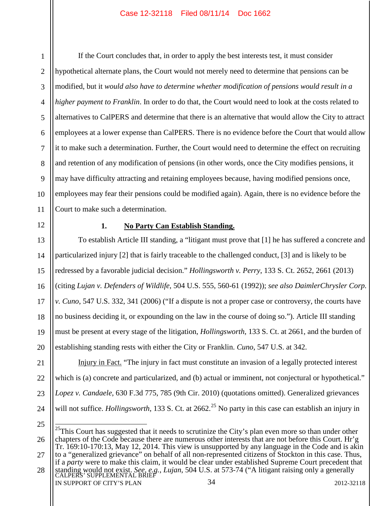1 2 3 4 5 6 7 8 9 10 11 If the Court concludes that, in order to apply the best interests test, it must consider hypothetical alternate plans, the Court would not merely need to determine that pensions can be modified, but it *would also have to determine whether modification of pensions would result in a higher payment to Franklin*. In order to do that, the Court would need to look at the costs related to alternatives to CalPERS and determine that there is an alternative that would allow the City to attract employees at a lower expense than CalPERS. There is no evidence before the Court that would allow it to make such a determination. Further, the Court would need to determine the effect on recruiting and retention of any modification of pensions (in other words, once the City modifies pensions, it may have difficulty attracting and retaining employees because, having modified pensions once, employees may fear their pensions could be modified again). Again, there is no evidence before the Court to make such a determination.

12

13

14

15

16

17

18

19

20

# **1. No Party Can Establish Standing.**

To establish Article III standing, a "litigant must prove that [1] he has suffered a concrete and particularized injury [2] that is fairly traceable to the challenged conduct, [3] and is likely to be redressed by a favorable judicial decision." *Hollingsworth v. Perry*, 133 S. Ct. 2652, 2661 (2013) (citing *Lujan v. Defenders of Wildlife*, 504 U.S. 555, 560-61 (1992)); *see also DaimlerChrysler Corp. v. Cuno*, 547 U.S. 332, 341 (2006) ("If a dispute is not a proper case or controversy, the courts have no business deciding it, or expounding on the law in the course of doing so."). Article III standing must be present at every stage of the litigation, *Hollingsworth*, 133 S. Ct. at 2661, and the burden of establishing standing rests with either the City or Franklin. *Cuno*, 547 U.S. at 342.

21 22 23 24 Injury in Fact. "The injury in fact must constitute an invasion of a legally protected interest which is (a) concrete and particularized, and (b) actual or imminent, not conjectural or hypothetical." *Lopez v. Candaele*, 630 F.3d 775, 785 (9th Cir. 2010) (quotations omitted). Generalized grievances will not suffice. *Hollingsworth*, 133 S. Ct. at 2662.<sup>25</sup> No party in this case can establish an injury in

<sup>26</sup> <sup>25</sup>This Court has suggested that it needs to scrutinize the City's plan even more so than under other chapters of the Code because there are numerous other interests that are not before this Court. Hr'g Tr. 169:10-170:13, May 12, 2014. This view is unsupported by any language in the Code and is akin to a "generalized grievance" on behalf of all non-represented citizens of Stockton in this case. Thus,

<sup>27</sup> if a *party* were to make this claim, it would be clear under established Supreme Court precedent that

<sup>28</sup> 34 standing would not exist. *See, e.g., Lujan*, 504 U.S. at 573-74 ("A litigant raising only a generally CALPERS' SUPPLEMENTAL BRIEF IN SUPPORT OF CITY'S PLAN 2012-32118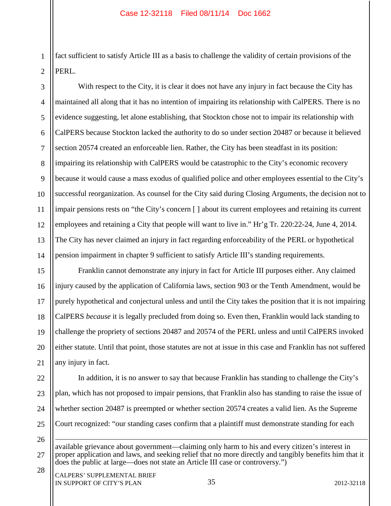1 2 fact sufficient to satisfy Article III as a basis to challenge the validity of certain provisions of the PERL.

3 4 5 6 7 8 9 10 11 12 13 14 With respect to the City, it is clear it does not have any injury in fact because the City has maintained all along that it has no intention of impairing its relationship with CalPERS. There is no evidence suggesting, let alone establishing, that Stockton chose not to impair its relationship with CalPERS because Stockton lacked the authority to do so under section 20487 or because it believed section 20574 created an enforceable lien. Rather, the City has been steadfast in its position: impairing its relationship with CalPERS would be catastrophic to the City's economic recovery because it would cause a mass exodus of qualified police and other employees essential to the City's successful reorganization. As counsel for the City said during Closing Arguments, the decision not to impair pensions rests on "the City's concern [ ] about its current employees and retaining its current employees and retaining a City that people will want to live in." Hr'g Tr. 220:22-24, June 4, 2014. The City has never claimed an injury in fact regarding enforceability of the PERL or hypothetical pension impairment in chapter 9 sufficient to satisfy Article III's standing requirements.

15 16 17 18 19 20 21 Franklin cannot demonstrate any injury in fact for Article III purposes either. Any claimed injury caused by the application of California laws, section 903 or the Tenth Amendment, would be purely hypothetical and conjectural unless and until the City takes the position that it is not impairing CalPERS *because* it is legally precluded from doing so. Even then, Franklin would lack standing to challenge the propriety of sections 20487 and 20574 of the PERL unless and until CalPERS invoked either statute. Until that point, those statutes are not at issue in this case and Franklin has not suffered any injury in fact.

22 23

26

24 25 In addition, it is no answer to say that because Franklin has standing to challenge the City's plan, which has not proposed to impair pensions, that Franklin also has standing to raise the issue of whether section 20487 is preempted or whether section 20574 creates a valid lien. As the Supreme Court recognized: "our standing cases confirm that a plaintiff must demonstrate standing for each

27 28  $\overline{a}$ available grievance about government—claiming only harm to his and every citizen's interest in proper application and laws, and seeking relief that no more directly and tangibly benefits him that it does the public at large—does not state an Article III case or controversy.")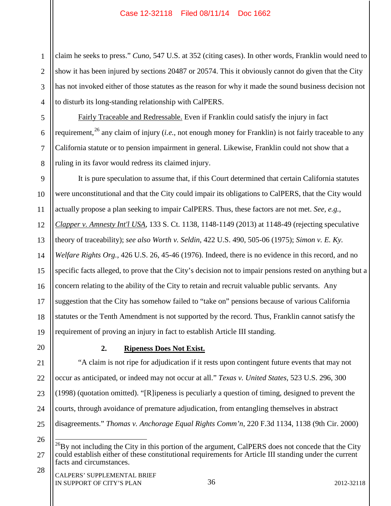1 2 3 4 claim he seeks to press." *Cuno*, 547 U.S. at 352 (citing cases). In other words, Franklin would need to show it has been injured by sections 20487 or 20574. This it obviously cannot do given that the City has not invoked either of those statutes as the reason for why it made the sound business decision not to disturb its long-standing relationship with CalPERS.

Fairly Traceable and Redressable. Even if Franklin could satisfy the injury in fact requirement,<sup>26</sup> any claim of injury (*i.e.*, not enough money for Franklin) is not fairly traceable to any California statute or to pension impairment in general. Likewise, Franklin could not show that a ruling in its favor would redress its claimed injury.

9 10 11 12 13 14 15 16 17 18 19 It is pure speculation to assume that, if this Court determined that certain California statutes were unconstitutional and that the City could impair its obligations to CalPERS, that the City would actually propose a plan seeking to impair CalPERS. Thus, these factors are not met. *See, e.g.*, *Clapper v. Amnesty Int'l USA*, 133 S. Ct. 1138, 1148-1149 (2013) at 1148-49 (rejecting speculative theory of traceability); *see also Worth v. Seldin*, 422 U.S. 490, 505-06 (1975); *Simon v. E. Ky. Welfare Rights Org.*, 426 U.S. 26, 45-46 (1976). Indeed, there is no evidence in this record, and no specific facts alleged, to prove that the City's decision not to impair pensions rested on anything but a concern relating to the ability of the City to retain and recruit valuable public servants. Any suggestion that the City has somehow failed to "take on" pensions because of various California statutes or the Tenth Amendment is not supported by the record. Thus, Franklin cannot satisfy the requirement of proving an injury in fact to establish Article III standing.

20

5

6

7

8

# **2. Ripeness Does Not Exist.**

21 22 23 24 25 "A claim is not ripe for adjudication if it rests upon contingent future events that may not occur as anticipated, or indeed may not occur at all." *Texas v. United States*, 523 U.S. 296, 300 (1998) (quotation omitted). "[R]ipeness is peculiarly a question of timing, designed to prevent the courts, through avoidance of premature adjudication, from entangling themselves in abstract disagreements." *Thomas v. Anchorage Equal Rights Comm'n*, 220 F.3d 1134, 1138 (9th Cir. 2000)

26

28

<sup>27</sup>  $^{26}$ By not including the City in this portion of the argument, CalPERS does not concede that the City could establish either of these constitutional requirements for Article III standing under the current facts and circumstances.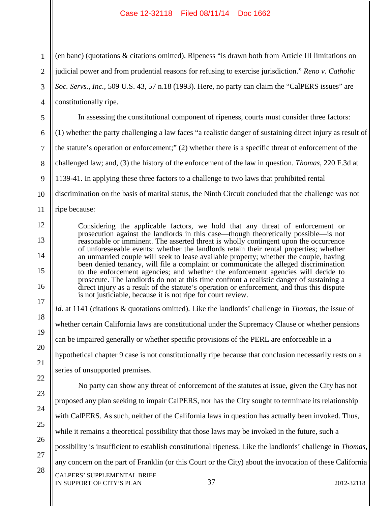1 2 3 4 5 6 7 8 9 10 11 12 13 14 15 16 17 18 19 20 21 22 23 24 25 26 27 28 (en banc) (quotations & citations omitted). Ripeness "is drawn both from Article III limitations on judicial power and from prudential reasons for refusing to exercise jurisdiction." *Reno v. Catholic Soc. Servs., Inc.*, 509 U.S. 43, 57 n.18 (1993). Here, no party can claim the "CalPERS issues" are constitutionally ripe. In assessing the constitutional component of ripeness, courts must consider three factors: (1) whether the party challenging a law faces "a realistic danger of sustaining direct injury as result of the statute's operation or enforcement;" (2) whether there is a specific threat of enforcement of the challenged law; and, (3) the history of the enforcement of the law in question. *Thomas*, 220 F.3d at 1139-41. In applying these three factors to a challenge to two laws that prohibited rental discrimination on the basis of marital status, the Ninth Circuit concluded that the challenge was not ripe because: Considering the applicable factors, we hold that any threat of enforcement or prosecution against the landlords in this case—though theoretically possible—is not reasonable or imminent. The asserted threat is wholly contingent upon the occurrence of unforeseeable events: whether the landlords retain their rental properties; whether an unmarried couple will seek to lease available property; whether the couple, having been denied tenancy, will file a complaint or communicate the alleged discrimination to the enforcement agencies; and whether the enforcement agencies will decide to prosecute. The landlords do not at this time confront a realistic danger of sustaining a direct injury as a result of the statute's operation or enforcement, and thus this dispute is not justiciable, because it is not ripe for court review. *Id.* at 1141 (citations & quotations omitted). Like the landlords' challenge in *Thomas*, the issue of whether certain California laws are constitutional under the Supremacy Clause or whether pensions can be impaired generally or whether specific provisions of the PERL are enforceable in a hypothetical chapter 9 case is not constitutionally ripe because that conclusion necessarily rests on a series of unsupported premises. No party can show any threat of enforcement of the statutes at issue, given the City has not proposed any plan seeking to impair CalPERS, nor has the City sought to terminate its relationship with CalPERS. As such, neither of the California laws in question has actually been invoked. Thus, while it remains a theoretical possibility that those laws may be invoked in the future, such a possibility is insufficient to establish constitutional ripeness. Like the landlords' challenge in *Thomas*, any concern on the part of Franklin (or this Court or the City) about the invocation of these California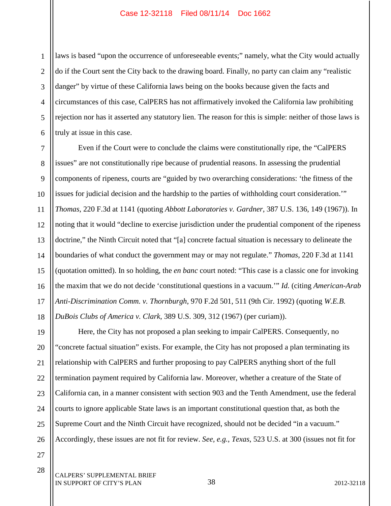1 2 3 4 5 6 laws is based "upon the occurrence of unforeseeable events;" namely, what the City would actually do if the Court sent the City back to the drawing board. Finally, no party can claim any "realistic danger" by virtue of these California laws being on the books because given the facts and circumstances of this case, CalPERS has not affirmatively invoked the California law prohibiting rejection nor has it asserted any statutory lien. The reason for this is simple: neither of those laws is truly at issue in this case.

7 8 9 10 11 12 13 14 15 16 17 18 Even if the Court were to conclude the claims were constitutionally ripe, the "CalPERS issues" are not constitutionally ripe because of prudential reasons. In assessing the prudential components of ripeness, courts are "guided by two overarching considerations: 'the fitness of the issues for judicial decision and the hardship to the parties of withholding court consideration.'" *Thomas*, 220 F.3d at 1141 (quoting *Abbott Laboratories v. Gardner*, 387 U.S. 136, 149 (1967)). In noting that it would "decline to exercise jurisdiction under the prudential component of the ripeness doctrine," the Ninth Circuit noted that "[a] concrete factual situation is necessary to delineate the boundaries of what conduct the government may or may not regulate." *Thomas*, 220 F.3d at 1141 (quotation omitted). In so holding, the *en banc* court noted: "This case is a classic one for invoking the maxim that we do not decide 'constitutional questions in a vacuum.'" *Id.* (citing *American-Arab Anti-Discrimination Comm. v. Thornburgh*, 970 F.2d 501, 511 (9th Cir. 1992) (quoting *W.E.B. DuBois Clubs of America v. Clark*, 389 U.S. 309, 312 (1967) (per curiam)).

19 20 21 22 23 24 25 26 Here, the City has not proposed a plan seeking to impair CalPERS. Consequently, no "concrete factual situation" exists. For example, the City has not proposed a plan terminating its relationship with CalPERS and further proposing to pay CalPERS anything short of the full termination payment required by California law. Moreover, whether a creature of the State of California can, in a manner consistent with section 903 and the Tenth Amendment, use the federal courts to ignore applicable State laws is an important constitutional question that, as both the Supreme Court and the Ninth Circuit have recognized, should not be decided "in a vacuum." Accordingly, these issues are not fit for review. *See, e.g.*, *Texas*, 523 U.S. at 300 (issues not fit for

27 28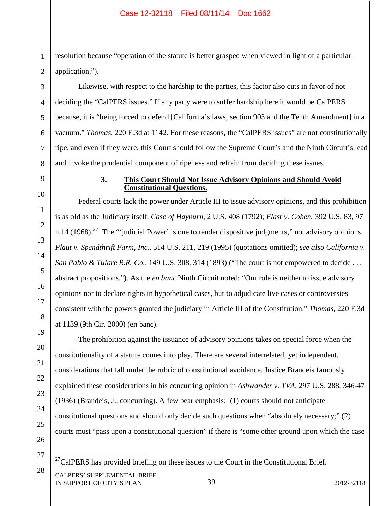1 2 resolution because "operation of the statute is better grasped when viewed in light of a particular application.").

Likewise, with respect to the hardship to the parties, this factor also cuts in favor of not deciding the "CalPERS issues." If any party were to suffer hardship here it would be CalPERS because, it is "being forced to defend [California's laws, section 903 and the Tenth Amendment] in a vacuum." *Thomas*, 220 F.3d at 1142. For these reasons, the "CalPERS issues" are not constitutionally ripe, and even if they were, this Court should follow the Supreme Court's and the Ninth Circuit's lead and invoke the prudential component of ripeness and refrain from deciding these issues.

3

4

5

6

7

8

9

10

11

12

13

14

15

16

17

18

19

20

21

22

23

24

25

26

## **3. This Court Should Not Issue Advisory Opinions and Should Avoid Constitutional Questions.**

Federal courts lack the power under Article III to issue advisory opinions, and this prohibition is as old as the Judiciary itself. *Case of Hayburn*, 2 U.S. 408 (1792); *Flast v. Cohen*, 392 U.S. 83, 97 n.14 (1968).<sup>27</sup> The "'judicial Power' is one to render dispositive judgments," not advisory opinions. *Plaut v. Spendthrift Farm, Inc.*, 514 U.S. 211, 219 (1995) (quotations omitted); *see also California v. San Pablo & Tulare R.R. Co.*, 149 U.S. 308, 314 (1893) ("The court is not empowered to decide . . . abstract propositions."). As the *en banc* Ninth Circuit noted: "Our role is neither to issue advisory opinions nor to declare rights in hypothetical cases, but to adjudicate live cases or controversies consistent with the powers granted the judiciary in Article III of the Constitution." *Thomas*, 220 F.3d at 1139 (9th Cir. 2000) (en banc).

The prohibition against the issuance of advisory opinions takes on special force when the constitutionality of a statute comes into play. There are several interrelated, yet independent, considerations that fall under the rubric of constitutional avoidance. Justice Brandeis famously explained these considerations in his concurring opinion in *Ashwander v. TVA*, 297 U.S. 288, 346-47 (1936) (Brandeis, J., concurring). A few bear emphasis: (1) courts should not anticipate constitutional questions and should only decide such questions when "absolutely necessary;" (2) courts must "pass upon a constitutional question" if there is "some other ground upon which the case

27

 $27$ CalPERS has provided briefing on these issues to the Court in the Constitutional Brief.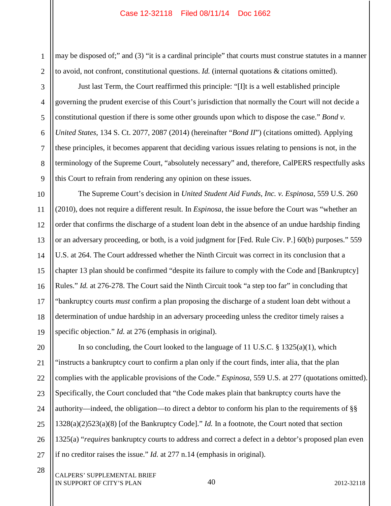1 2 may be disposed of;" and (3) "it is a cardinal principle" that courts must construe statutes in a manner to avoid, not confront, constitutional questions. *Id.* (internal quotations & citations omitted).

6 Just last Term, the Court reaffirmed this principle: "[I]t is a well established principle governing the prudent exercise of this Court's jurisdiction that normally the Court will not decide a constitutional question if there is some other grounds upon which to dispose the case." *Bond v. United States*, 134 S. Ct. 2077, 2087 (2014) (hereinafter "*Bond II*") (citations omitted). Applying these principles, it becomes apparent that deciding various issues relating to pensions is not, in the terminology of the Supreme Court, "absolutely necessary" and, therefore, CalPERS respectfully asks this Court to refrain from rendering any opinion on these issues.

The Supreme Court's decision in *United Student Aid Funds, Inc. v. Espinosa*, 559 U.S. 260 (2010), does not require a different result. In *Espinosa*, the issue before the Court was "whether an order that confirms the discharge of a student loan debt in the absence of an undue hardship finding or an adversary proceeding, or both, is a void judgment for [Fed. Rule Civ. P.] 60(b) purposes." 559 U.S. at 264. The Court addressed whether the Ninth Circuit was correct in its conclusion that a chapter 13 plan should be confirmed "despite its failure to comply with the Code and [Bankruptcy] Rules." *Id.* at 276-278. The Court said the Ninth Circuit took "a step too far" in concluding that "bankruptcy courts *must* confirm a plan proposing the discharge of a student loan debt without a determination of undue hardship in an adversary proceeding unless the creditor timely raises a specific objection." *Id.* at 276 (emphasis in original).

20 21 22 23 24 25 26 27 In so concluding, the Court looked to the language of 11 U.S.C. § 1325(a)(1), which "instructs a bankruptcy court to confirm a plan only if the court finds, inter alia, that the plan complies with the applicable provisions of the Code." *Espinosa*, 559 U.S. at 277 (quotations omitted). Specifically, the Court concluded that "the Code makes plain that bankruptcy courts have the authority—indeed, the obligation—to direct a debtor to conform his plan to the requirements of §§ 1328(a)(2)523(a)(8) [of the Bankruptcy Code]." *Id.* In a footnote, the Court noted that section 1325(a) "*requires* bankruptcy courts to address and correct a defect in a debtor's proposed plan even if no creditor raises the issue." *Id.* at 277 n.14 (emphasis in original).

3

4

5

7

8

9

10

11

12

13

14

15

16

17

18

19

28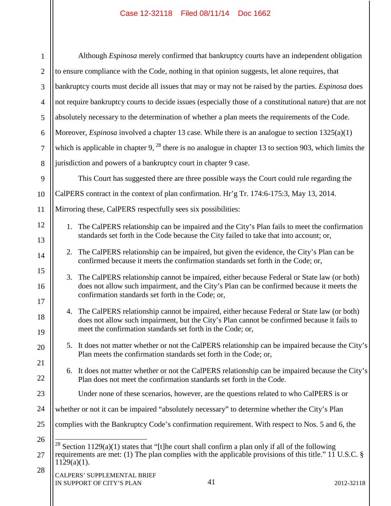$\mathbf{\mathsf{II}}$ 

 $\mathbb{I}$ 

| $\mathbf{1}$                                                                                 | Although <i>Espinosa</i> merely confirmed that bankruptcy courts have an independent obligation                                                                                    |  |                                                                                                                                                                                              |  |  |  |  |  |
|----------------------------------------------------------------------------------------------|------------------------------------------------------------------------------------------------------------------------------------------------------------------------------------|--|----------------------------------------------------------------------------------------------------------------------------------------------------------------------------------------------|--|--|--|--|--|
| $\overline{2}$                                                                               | to ensure compliance with the Code, nothing in that opinion suggests, let alone requires, that                                                                                     |  |                                                                                                                                                                                              |  |  |  |  |  |
| 3                                                                                            | bankruptcy courts must decide all issues that may or may not be raised by the parties. <i>Espinosa</i> does                                                                        |  |                                                                                                                                                                                              |  |  |  |  |  |
| $\overline{4}$                                                                               | not require bankruptcy courts to decide issues (especially those of a constitutional nature) that are not                                                                          |  |                                                                                                                                                                                              |  |  |  |  |  |
| 5                                                                                            | absolutely necessary to the determination of whether a plan meets the requirements of the Code.                                                                                    |  |                                                                                                                                                                                              |  |  |  |  |  |
| 6                                                                                            | Moreover, <i>Espinosa</i> involved a chapter 13 case. While there is an analogue to section $1325(a)(1)$                                                                           |  |                                                                                                                                                                                              |  |  |  |  |  |
| $\tau$                                                                                       | which is applicable in chapter 9, $^{28}$ there is no analogue in chapter 13 to section 903, which limits the                                                                      |  |                                                                                                                                                                                              |  |  |  |  |  |
| 8                                                                                            | jurisdiction and powers of a bankruptcy court in chapter 9 case.                                                                                                                   |  |                                                                                                                                                                                              |  |  |  |  |  |
| 9                                                                                            | This Court has suggested there are three possible ways the Court could rule regarding the                                                                                          |  |                                                                                                                                                                                              |  |  |  |  |  |
| 10                                                                                           | CalPERS contract in the context of plan confirmation. Hr'g Tr. 174:6-175:3, May 13, 2014.                                                                                          |  |                                                                                                                                                                                              |  |  |  |  |  |
| 11                                                                                           | Mirroring these, CalPERS respectfully sees six possibilities:                                                                                                                      |  |                                                                                                                                                                                              |  |  |  |  |  |
| 12                                                                                           |                                                                                                                                                                                    |  | 1. The CalPERS relationship can be impaired and the City's Plan fails to meet the confirmation                                                                                               |  |  |  |  |  |
| standards set forth in the Code because the City failed to take that into account; or,<br>13 |                                                                                                                                                                                    |  |                                                                                                                                                                                              |  |  |  |  |  |
| 14                                                                                           | The CalPERS relationship can be impaired, but given the evidence, the City's Plan can be<br>2.<br>confirmed because it meets the confirmation standards set forth in the Code; or, |  |                                                                                                                                                                                              |  |  |  |  |  |
| 15                                                                                           | 3.                                                                                                                                                                                 |  | The CalPERS relationship cannot be impaired, either because Federal or State law (or both)                                                                                                   |  |  |  |  |  |
| 16<br>17                                                                                     | does not allow such impairment, and the City's Plan can be confirmed because it meets the<br>confirmation standards set forth in the Code; or,                                     |  |                                                                                                                                                                                              |  |  |  |  |  |
| 18                                                                                           |                                                                                                                                                                                    |  | 4. The CalPERS relationship cannot be impaired, either because Federal or State law (or both)<br>does not allow such impairment, but the City's Plan cannot be confirmed because it fails to |  |  |  |  |  |
| 19                                                                                           |                                                                                                                                                                                    |  | meet the confirmation standards set forth in the Code; or,                                                                                                                                   |  |  |  |  |  |
| 20                                                                                           |                                                                                                                                                                                    |  | 5. It does not matter whether or not the CalPERS relationship can be impaired because the City's                                                                                             |  |  |  |  |  |
| 21                                                                                           |                                                                                                                                                                                    |  | Plan meets the confirmation standards set forth in the Code; or,                                                                                                                             |  |  |  |  |  |
| 22                                                                                           | 6.                                                                                                                                                                                 |  | It does not matter whether or not the CalPERS relationship can be impaired because the City's<br>Plan does not meet the confirmation standards set forth in the Code.                        |  |  |  |  |  |
| 23                                                                                           |                                                                                                                                                                                    |  | Under none of these scenarios, however, are the questions related to who CalPERS is or                                                                                                       |  |  |  |  |  |
| 24                                                                                           |                                                                                                                                                                                    |  | whether or not it can be impaired "absolutely necessary" to determine whether the City's Plan                                                                                                |  |  |  |  |  |
| 25                                                                                           | complies with the Bankruptcy Code's confirmation requirement. With respect to Nos. 5 and 6, the                                                                                    |  |                                                                                                                                                                                              |  |  |  |  |  |
| 26                                                                                           | <sup>28</sup> Section 1129(a)(1) states that "[t]he court shall confirm a plan only if all of the following                                                                        |  |                                                                                                                                                                                              |  |  |  |  |  |
| 27                                                                                           | requirements are met: (1) The plan complies with the applicable provisions of this title." 11 U.S.C. $\S$<br>$1129(a)(1)$ .                                                        |  |                                                                                                                                                                                              |  |  |  |  |  |
| 28<br>CALPERS' SUPPLEMENTAL BRIEF<br>41<br>IN SUPPORT OF CITY'S PLAN<br>2012-32118           |                                                                                                                                                                                    |  |                                                                                                                                                                                              |  |  |  |  |  |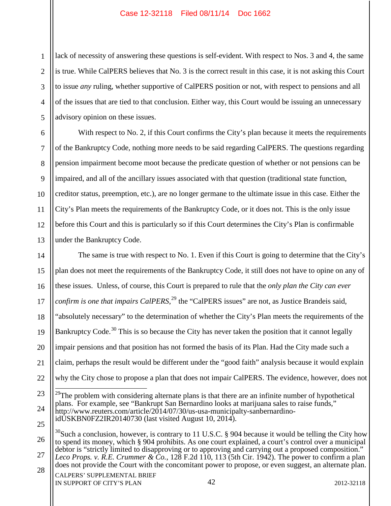1 2 3 4 5 lack of necessity of answering these questions is self-evident. With respect to Nos. 3 and 4, the same is true. While CalPERS believes that No. 3 is the correct result in this case, it is not asking this Court to issue *any* ruling, whether supportive of CalPERS position or not, with respect to pensions and all of the issues that are tied to that conclusion. Either way, this Court would be issuing an unnecessary advisory opinion on these issues.

6 7 8 9 10 11 12 13 With respect to No. 2, if this Court confirms the City's plan because it meets the requirements of the Bankruptcy Code, nothing more needs to be said regarding CalPERS. The questions regarding pension impairment become moot because the predicate question of whether or not pensions can be impaired, and all of the ancillary issues associated with that question (traditional state function, creditor status, preemption, etc.), are no longer germane to the ultimate issue in this case. Either the City's Plan meets the requirements of the Bankruptcy Code, or it does not. This is the only issue before this Court and this is particularly so if this Court determines the City's Plan is confirmable under the Bankruptcy Code.

14 15 16 17 18 19 20 21 22 23 24 The same is true with respect to No. 1. Even if this Court is going to determine that the City's plan does not meet the requirements of the Bankruptcy Code, it still does not have to opine on any of these issues. Unless, of course, this Court is prepared to rule that the *only plan the City can ever confirm is one that impairs CalPERS*, <sup>29</sup> the "CalPERS issues" are not, as Justice Brandeis said, "absolutely necessary" to the determination of whether the City's Plan meets the requirements of the Bankruptcy Code.<sup>30</sup> This is so because the City has never taken the position that it cannot legally impair pensions and that position has not formed the basis of its Plan. Had the City made such a claim, perhaps the result would be different under the "good faith" analysis because it would explain why the City chose to propose a plan that does not impair CalPERS. The evidence, however, does not  $29$ The problem with considering alternate plans is that there are an infinite number of hypothetical plans. For example, see "Bankrupt San Bernardino looks at marijuana sales to raise funds,"

CALPERS' SUPPLEMENTAL BRIEF IN SUPPORT OF CITY'S PLAN 2012-32118

25

http://www.reuters.com/article/2014/07/30/us-usa-municipalty-sanbernardino- idUSKBN0FZ2IR20140730 (last visited August 10, 2014).

<sup>26</sup> 27  $30$ Such a conclusion, however, is contrary to 11 U.S.C. § 904 because it would be telling the City how to spend its money, which § 904 prohibits. As one court explained, a court's control over a municipal debtor is "strictly limited to disapproving or to approving and carrying out a proposed composition." *Leco Props. v. R.E. Crummer & Co.*, 128 F.2d 110, 113 (5th Cir. 1942). The power to confirm a plan does not provide the Court with the concomitant power to propose, or even suggest, an alternate plan.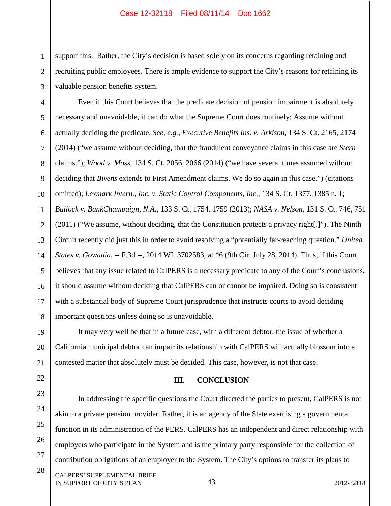1 2 3 support this. Rather, the City's decision is based solely on its concerns regarding retaining and recruiting public employees. There is ample evidence to support the City's reasons for retaining its valuable pension benefits system.

4 5 6 7 8 9 10 11 12 13 14 15 16 17 18 Even if this Court believes that the predicate decision of pension impairment is absolutely necessary and unavoidable, it can do what the Supreme Court does routinely: Assume without actually deciding the predicate. *See, e.g.*, *Executive Benefits Ins. v. Arkison*, 134 S. Ct. 2165, 2174 (2014) ("we assume without deciding, that the fraudulent conveyance claims in this case are *Stern* claims."); *Wood v. Moss*, 134 S. Ct. 2056, 2066 (2014) ("we have several times assumed without deciding that *Bivens* extends to First Amendment claims. We do so again in this case.") (citations omitted); *Lexmark Intern., Inc. v. Static Control Components, Inc.*, 134 S. Ct. 1377, 1385 n. 1; *Bullock v. BankChampaign, N.A.*, 133 S. Ct. 1754, 1759 (2013); *NASA v. Nelson*, 131 S. Ct. 746, 751 (2011) ("We assume, without deciding, that the Constitution protects a privacy right[.]"). The Ninth Circuit recently did just this in order to avoid resolving a "potentially far-reaching question." *United States v. Gowadia*, -- F.3d --, 2014 WL 3702583, at \*6 (9th Cir. July 28, 2014). Thus, if this Court believes that any issue related to CalPERS is a necessary predicate to any of the Court's conclusions, it should assume without deciding that CalPERS can or cannot be impaired. Doing so is consistent with a substantial body of Supreme Court jurisprudence that instructs courts to avoid deciding important questions unless doing so is unavoidable.

19 20 21 It may very well be that in a future case, with a different debtor, the issue of whether a California municipal debtor can impair its relationship with CalPERS will actually blossom into a contested matter that absolutely must be decided. This case, however, is not that case.

#### **III. CONCLUSION**

In addressing the specific questions the Court directed the parties to present, CalPERS is not akin to a private pension provider. Rather, it is an agency of the State exercising a governmental function in its administration of the PERS. CalPERS has an independent and direct relationship with employers who participate in the System and is the primary party responsible for the collection of contribution obligations of an employer to the System. The City's options to transfer its plans to

CALPERS' SUPPLEMENTAL BRIEF IN SUPPORT OF CITY'S PLAN 2012-32118

22

23

24

25

26

27